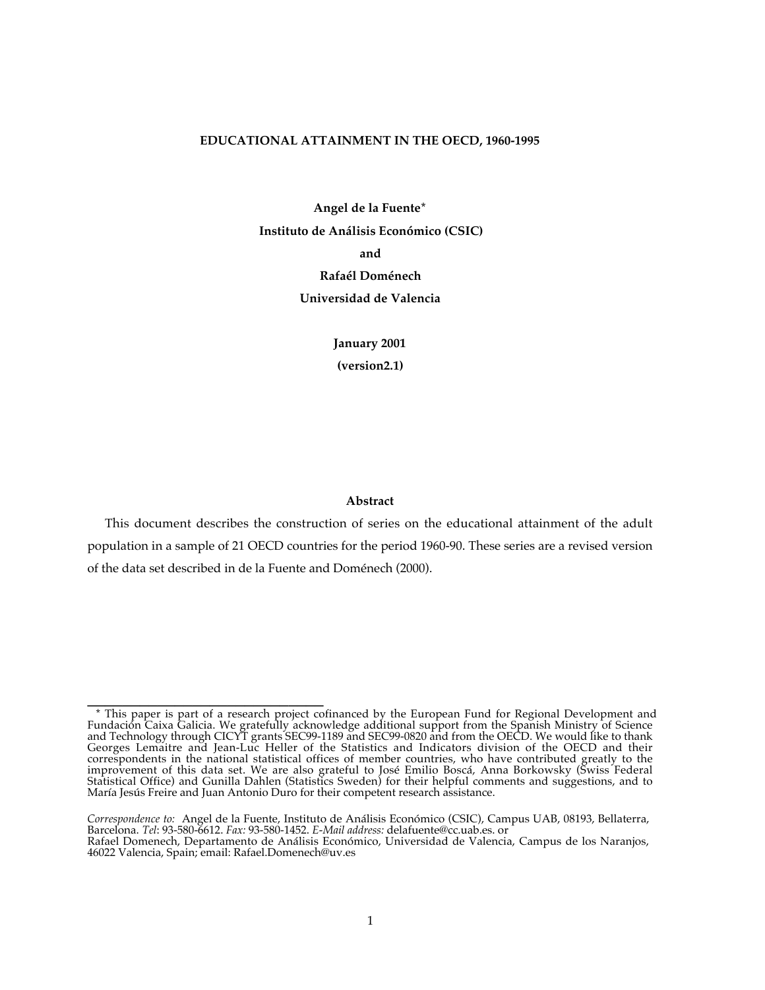#### **EDUCATIONAL ATTAINMENT IN THE OECD, 1960-1995**

**Angel de la Fuente\* Instituto de Análisis Económico (CSIC) and Rafaél Doménech Universidad de Valencia**

> **January 2001 (version2.1)**

## **Abstract**

This document describes the construction of series on the educational attainment of the adult population in a sample of 21 OECD countries for the period 1960-90. These series are a revised version of the data set described in de la Fuente and Doménech (2000).

**\_\_\_\_\_\_\_\_\_\_\_\_\_\_\_\_\_\_\_\_\_\_\_\_\_\_\_** \* This paper is part of a research project cofinanced by the European Fund for Regional Development and Fundación Caixa Galicia. We gratefully acknowledge additional support from the Spanish Ministry of Science and Technology through CICYT grants SEC99-1189 and SEC99-0820 and from the OECD. We would like to thank Georges Lemaitre and Jean-Luc Heller of the Statistics and Indicators division of the OECD and their correspondents in the national statistical offices of member countries, who have contributed greatly to the improvement of this data set. We are also grateful to José Emilio Boscá, Anna Borkowsky (Swiss Federal Statistical Office) and Gunilla Dahlen (Statistics Sweden) for their helpful comments and suggestions, and to María Jesús Freire and Juan Antonio Duro for their competent research assistance.

Correspondence to: Angel de la Fuente, Instituto de Análisis Económico (CSIC), Campus UAB, 08193, Bellaterra,<br>Barcelona. Tel: 93-580-6612. Fax: 93-580-1452. E-Mail address: delafuente@cc.uab.es. or Rafael Domenech, Departamento de Análisis Económico, Universidad de Valencia, Campus de los Naranjos, 46022 Valencia, Spain; email: Rafael.Domenech@uv.es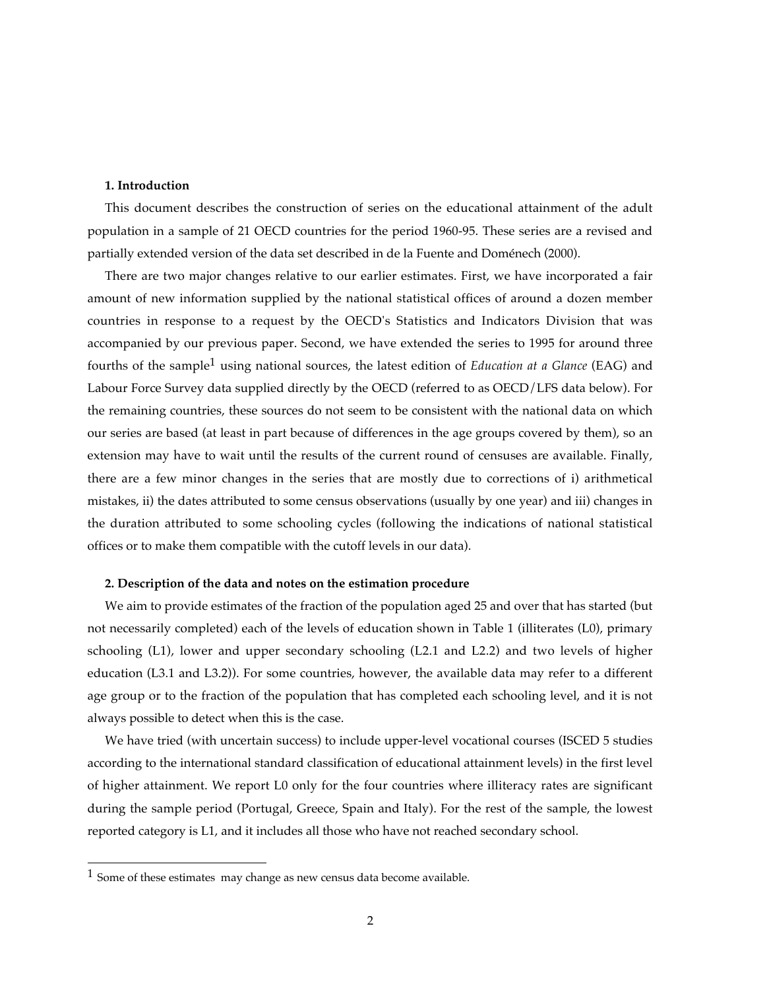# **1. Introduction**

This document describes the construction of series on the educational attainment of the adult population in a sample of 21 OECD countries for the period 1960-95. These series are a revised and partially extended version of the data set described in de la Fuente and Doménech (2000).

There are two major changes relative to our earlier estimates. First, we have incorporated a fair amount of new information supplied by the national statistical offices of around a dozen member countries in response to a request by the OECD's Statistics and Indicators Division that was accompanied by our previous paper. Second, we have extended the series to 1995 for around three fourths of the sample1 using national sources, the latest edition of *Education at a Glance* (EAG) and Labour Force Survey data supplied directly by the OECD (referred to as OECD/LFS data below). For the remaining countries, these sources do not seem to be consistent with the national data on which our series are based (at least in part because of differences in the age groups covered by them), so an extension may have to wait until the results of the current round of censuses are available. Finally, there are a few minor changes in the series that are mostly due to corrections of i) arithmetical mistakes, ii) the dates attributed to some census observations (usually by one year) and iii) changes in the duration attributed to some schooling cycles (following the indications of national statistical offices or to make them compatible with the cutoff levels in our data).

#### **2. Description of the data and notes on the estimation procedure**

We aim to provide estimates of the fraction of the population aged 25 and over that has started (but not necessarily completed) each of the levels of education shown in Table 1 (illiterates (L0), primary schooling (L1), lower and upper secondary schooling (L2.1 and L2.2) and two levels of higher education (L3.1 and L3.2)). For some countries, however, the available data may refer to a different age group or to the fraction of the population that has completed each schooling level, and it is not always possible to detect when this is the case.

We have tried (with uncertain success) to include upper-level vocational courses (ISCED 5 studies according to the international standard classification of educational attainment levels) in the first level of higher attainment. We report L0 only for the four countries where illiteracy rates are significant during the sample period (Portugal, Greece, Spain and Italy). For the rest of the sample, the lowest reported category is L1, and it includes all those who have not reached secondary school.

<sup>1</sup> Some of these estimates may change as new census data become available.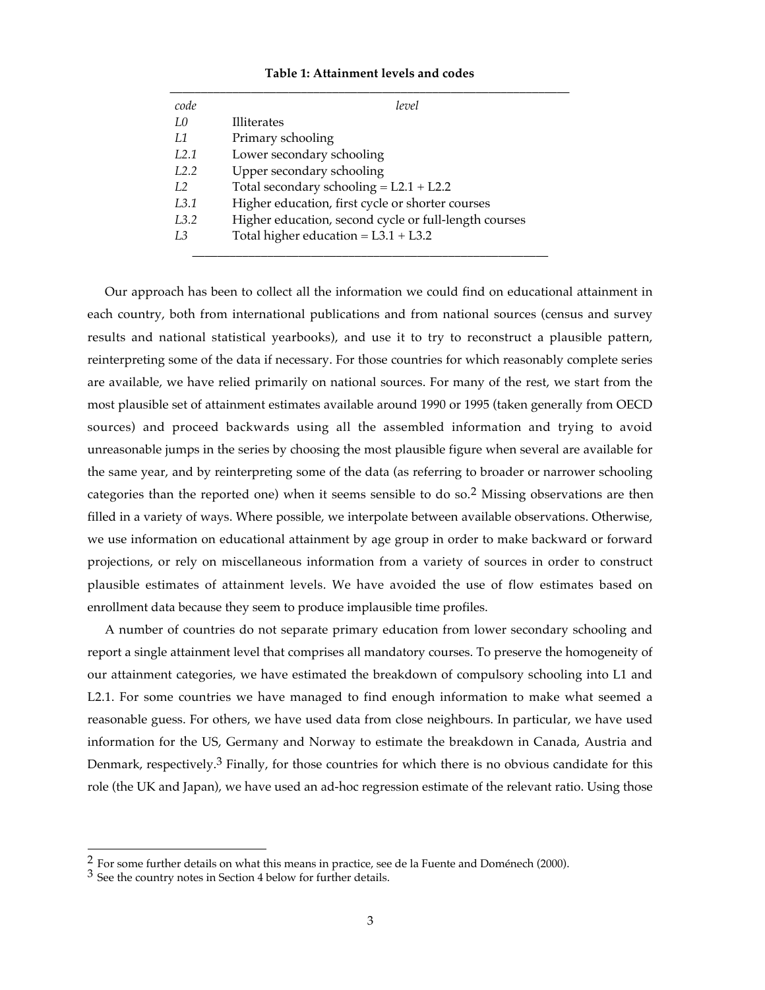## **Table 1: Attainment levels and codes**

| <b>Illiterates</b><br>Primary schooling               |
|-------------------------------------------------------|
|                                                       |
|                                                       |
| Lower secondary schooling                             |
| Upper secondary schooling                             |
| Total secondary schooling = $L2.1 + L2.2$             |
| Higher education, first cycle or shorter courses      |
| Higher education, second cycle or full-length courses |
| Total higher education = $L3.1 + L3.2$                |
|                                                       |

Our approach has been to collect all the information we could find on educational attainment in each country, both from international publications and from national sources (census and survey results and national statistical yearbooks), and use it to try to reconstruct a plausible pattern, reinterpreting some of the data if necessary. For those countries for which reasonably complete series are available, we have relied primarily on national sources. For many of the rest, we start from the most plausible set of attainment estimates available around 1990 or 1995 (taken generally from OECD sources) and proceed backwards using all the assembled information and trying to avoid unreasonable jumps in the series by choosing the most plausible figure when several are available for the same year, and by reinterpreting some of the data (as referring to broader or narrower schooling categories than the reported one) when it seems sensible to do so.2 Missing observations are then filled in a variety of ways. Where possible, we interpolate between available observations. Otherwise, we use information on educational attainment by age group in order to make backward or forward projections, or rely on miscellaneous information from a variety of sources in order to construct plausible estimates of attainment levels. We have avoided the use of flow estimates based on enrollment data because they seem to produce implausible time profiles.

A number of countries do not separate primary education from lower secondary schooling and report a single attainment level that comprises all mandatory courses. To preserve the homogeneity of our attainment categories, we have estimated the breakdown of compulsory schooling into L1 and L2.1. For some countries we have managed to find enough information to make what seemed a reasonable guess. For others, we have used data from close neighbours. In particular, we have used information for the US, Germany and Norway to estimate the breakdown in Canada, Austria and Denmark, respectively.<sup>3</sup> Finally, for those countries for which there is no obvious candidate for this role (the UK and Japan), we have used an ad-hoc regression estimate of the relevant ratio. Using those

 $^2$  For some further details on what this means in practice, see de la Fuente and Doménech (2000).  $^3$  See the country notes in Section 4 below for further details.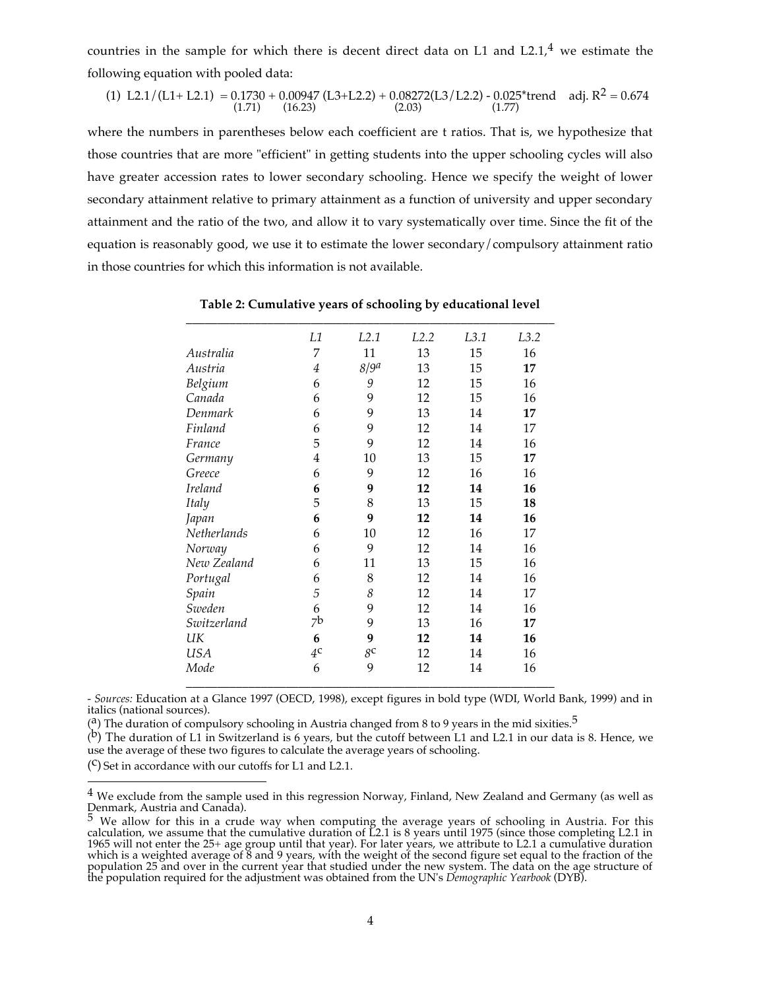countries in the sample for which there is decent direct data on L1 and L2.1,<sup>4</sup> we estimate the following equation with pooled data:

(1) L2.1/(L1+ L2.1) = 
$$
0.1730 + 0.00947
$$
 (L3+L2.2) +  $0.08272$ (L3/L2.2) -  $0.025$ \*trend adj. R<sup>2</sup> = 0.674  
(1.71) (16.23) (2.03)

where the numbers in parentheses below each coefficient are t ratios. That is, we hypothesize that those countries that are more "efficient" in getting students into the upper schooling cycles will also have greater accession rates to lower secondary schooling. Hence we specify the weight of lower secondary attainment relative to primary attainment as a function of university and upper secondary attainment and the ratio of the two, and allow it to vary systematically over time. Since the fit of the equation is reasonably good, we use it to estimate the lower secondary/compulsory attainment ratio in those countries for which this information is not available.

|                | L1             | L2.1             | L <sub>2.2</sub> | L3.1 | L3.2 |
|----------------|----------------|------------------|------------------|------|------|
| Australia      | 7              | 11               | 13               | 15   | 16   |
| Austria        | $\overline{4}$ | 8/9 <sup>a</sup> | 13               | 15   | 17   |
| Belgium        | 6              | 9                | 12               | 15   | 16   |
| Canada         | 6              | 9                | 12               | 15   | 16   |
| Denmark        | 6              | 9                | 13               | 14   | 17   |
| Finland        | 6              | 9                | 12               | 14   | 17   |
| France         | 5              | 9                | 12               | 14   | 16   |
| Germany        | 4              | 10               | 13               | 15   | 17   |
| Greece         | 6              | 9                | 12               | 16   | 16   |
| <b>Ireland</b> | 6              | 9                | 12               | 14   | 16   |
| Italy          | 5              | 8                | 13               | 15   | 18   |
| Japan          | 6              | 9                | 12               | 14   | 16   |
| Netherlands    | 6              | 10               | 12               | 16   | 17   |
| Norway         | 6              | 9                | 12               | 14   | 16   |
| New Zealand    | 6              | 11               | 13               | 15   | 16   |
| Portugal       | 6              | 8                | 12               | 14   | 16   |
| Spain          | 5              | 8                | 12               | 14   | 17   |
| Sweden         | 6              | 9                | 12               | 14   | 16   |
| Switzerland    | 7b             | 9                | 13               | 16   | 17   |
| UК             | 6              | 9                | 12               | 14   | 16   |
| <b>USA</b>     | 4 <sup>c</sup> | 8 <sup>c</sup>   | 12               | 14   | 16   |
| Mode           | 6              | 9                | 12               | 14   | 16   |

**Table 2: Cumulative years of schooling by educational level**

*- Sources:* Education at a Glance 1997 (OECD, 1998), except figures in bold type (WDI, World Bank, 1999) and in italics (national sources).

(a) The duration of compulsory schooling in Austria changed from 8 to 9 years in the mid sixities.<sup>5</sup>

( $\overline{b}$ ) The duration of L1 in Switzerland is 6 years, but the cutoff between L1 and L2.1 in our data is 8. Hence, we use the average of these two figures to calculate the average years of schooling.

 $(C)$  Set in accordance with our cutoffs for L1 and L2.1.

<sup>&</sup>lt;sup>4</sup> We exclude from the sample used in this regression Norway, Finland, New Zealand and Germany (as well as Denmark, Austria and Canada).

 $^5$  We allow for this in a crude way when computing the average years of schooling in Austria. For this calculation, we assume that the cumulative duration of L2.1 is 8 years until 1975 (since those completing L2.1 in 1965 will not enter the 25+ age group until that year). For later years, we attribute to L2.1 a cumulative duration which is a weighted average of 8 and 9 years, with the weight of the second figure set equal to the fraction of the population 25 and over in the current year that studied under the new system. The data on the age structure of the population required for the adjustment was obtained from the UN's *Demographic Yearbook* (DYB).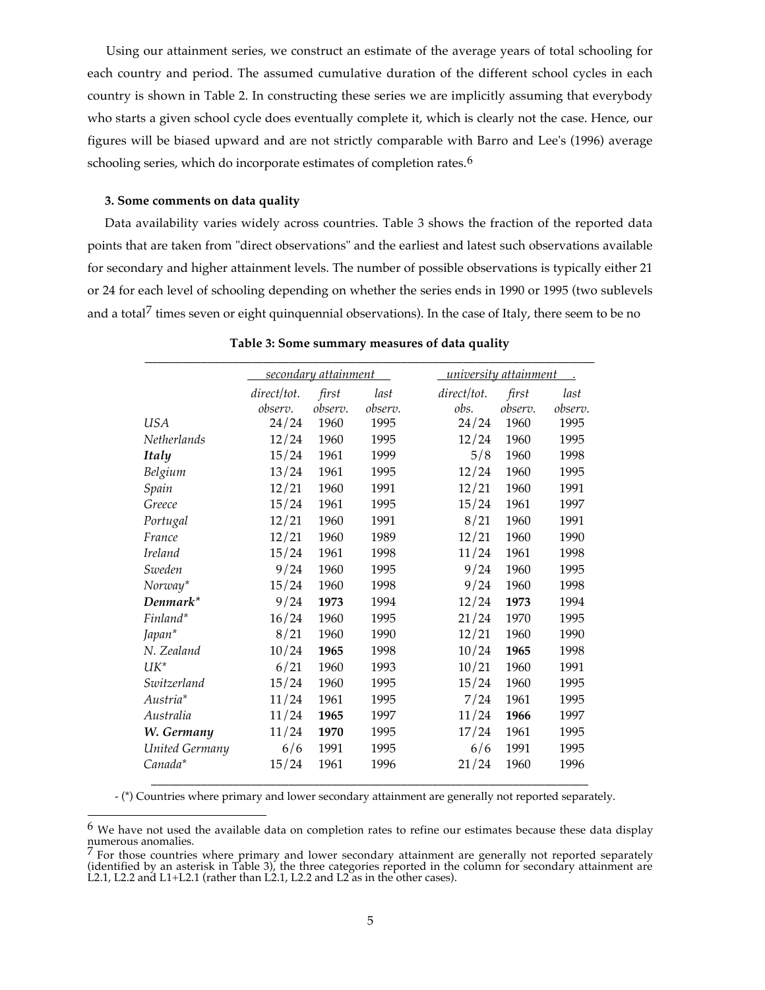Using our attainment series, we construct an estimate of the average years of total schooling for each country and period. The assumed cumulative duration of the different school cycles in each country is shown in Table 2. In constructing these series we are implicitly assuming that everybody who starts a given school cycle does eventually complete it, which is clearly not the case. Hence, our figures will be biased upward and are not strictly comparable with Barro and Lee's (1996) average schooling series, which do incorporate estimates of completion rates.<sup>6</sup>

#### **3. Some comments on data quality**

Data availability varies widely across countries. Table 3 shows the fraction of the reported data points that are taken from "direct observations" and the earliest and latest such observations available for secondary and higher attainment levels. The number of possible observations is typically either 21 or 24 for each level of schooling depending on whether the series ends in 1990 or 1995 (two sublevels and a total<sup> $\gamma$ </sup> times seven or eight quinquennial observations). In the case of Italy, there seem to be no

|                |             | secondary attainment |         | university attainment |         |         |
|----------------|-------------|----------------------|---------|-----------------------|---------|---------|
|                | direct/tot. | first                | last    | direct/tot.           | first   | last    |
|                | observ.     | observ.              | observ. | obs.                  | observ. | observ. |
| <b>USA</b>     | 24/24       | 1960                 | 1995    | 24/24                 | 1960    | 1995    |
| Netherlands    | 12/24       | 1960                 | 1995    | 12/24                 | 1960    | 1995    |
| <b>Italy</b>   | 15/24       | 1961                 | 1999    | 5/8                   | 1960    | 1998    |
| Belgium        | 13/24       | 1961                 | 1995    | 12/24                 | 1960    | 1995    |
| Spain          | 12/21       | 1960                 | 1991    | 12/21                 | 1960    | 1991    |
| Greece         | 15/24       | 1961                 | 1995    | 15/24                 | 1961    | 1997    |
| Portugal       | 12/21       | 1960                 | 1991    | 8/21                  | 1960    | 1991    |
| France         | 12/21       | 1960                 | 1989    | 12/21                 | 1960    | 1990    |
| <b>Ireland</b> | 15/24       | 1961                 | 1998    | 11/24                 | 1961    | 1998    |
| Sweden         | 9/24        | 1960                 | 1995    | 9/24                  | 1960    | 1995    |
| Norway*        | 15/24       | 1960                 | 1998    | 9/24                  | 1960    | 1998    |
| Denmark*       | 9/24        | 1973                 | 1994    | 12/24                 | 1973    | 1994    |
| Finland*       | 16/24       | 1960                 | 1995    | 21/24                 | 1970    | 1995    |
| Japan*         | 8/21        | 1960                 | 1990    | 12/21                 | 1960    | 1990    |
| N. Zealand     | 10/24       | 1965                 | 1998    | 10/24                 | 1965    | 1998    |
| $UK^*$         | 6/21        | 1960                 | 1993    | 10/21                 | 1960    | 1991    |
| Switzerland    | 15/24       | 1960                 | 1995    | 15/24                 | 1960    | 1995    |
| Austria*       | 11/24       | 1961                 | 1995    | 7/24                  | 1961    | 1995    |
| Australia      | 11/24       | 1965                 | 1997    | 11/24                 | 1966    | 1997    |
| W. Germany     | 11/24       | 1970                 | 1995    | 17/24                 | 1961    | 1995    |
| United Germany | 6/6         | 1991                 | 1995    | 6/6                   | 1991    | 1995    |
| Canada*        | 15/24       | 1961                 | 1996    | 21/24                 | 1960    | 1996    |

# **Table 3: Some summary measures of data quality**

- (\*) Countries where primary and lower secondary attainment are generally not reported separately.

 $6$  We have not used the available data on completion rates to refine our estimates because these data display numerous anomalies.

 $7$  For those countries where primary and lower secondary attainment are generally not reported separately (identified by an asterisk in Table 3), the three categories reported in the column for secondary attainment are L2.1, L2.2 and L1+L2.1 (rather than L2.1, L2.2 and L2 as in the other cases).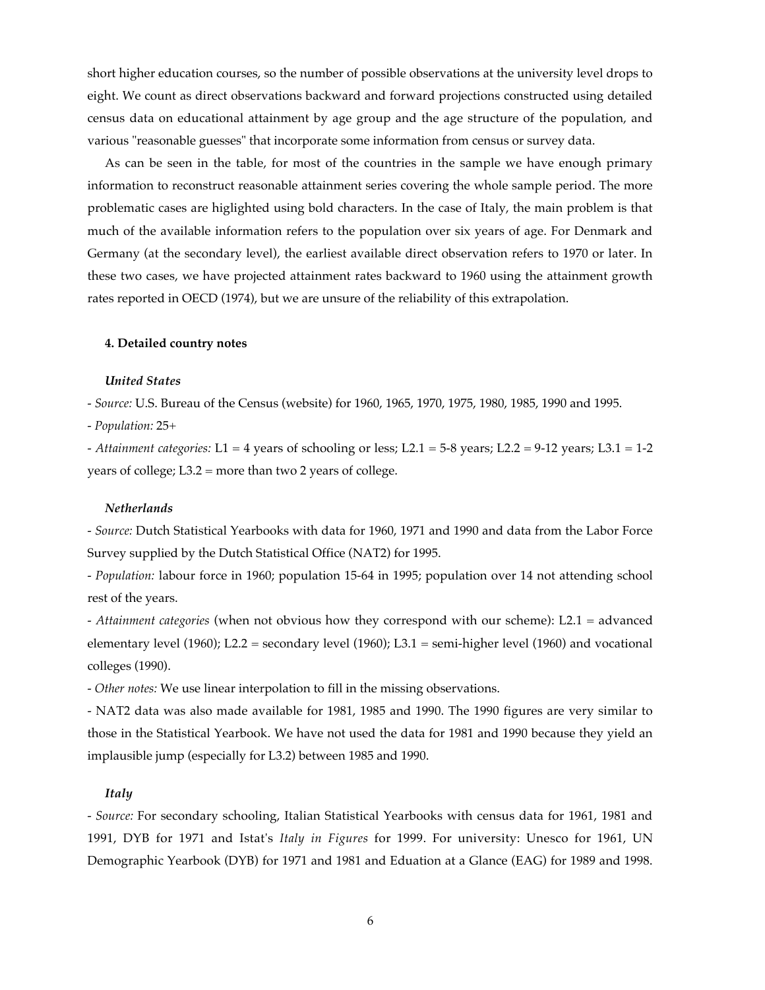short higher education courses, so the number of possible observations at the university level drops to eight. We count as direct observations backward and forward projections constructed using detailed census data on educational attainment by age group and the age structure of the population, and various "reasonable guesses" that incorporate some information from census or survey data.

As can be seen in the table, for most of the countries in the sample we have enough primary information to reconstruct reasonable attainment series covering the whole sample period. The more problematic cases are higlighted using bold characters. In the case of Italy, the main problem is that much of the available information refers to the population over six years of age. For Denmark and Germany (at the secondary level), the earliest available direct observation refers to 1970 or later. In these two cases, we have projected attainment rates backward to 1960 using the attainment growth rates reported in OECD (1974), but we are unsure of the reliability of this extrapolation.

#### **4. Detailed country notes**

## *United States*

*- Source:* U.S. Bureau of the Census (website) for 1960, 1965, 1970, 1975, 1980, 1985, 1990 and 1995.

*- Population:* 25+

*- Attainment categories:* L1 = 4 years of schooling or less; L2.1 = 5-8 years; L2.2 = 9-12 years; L3.1 = 1-2 years of college; L3.2 = more than two 2 years of college.

#### *Netherlands*

*- Source:* Dutch Statistical Yearbooks with data for 1960, 1971 and 1990 and data from the Labor Force Survey supplied by the Dutch Statistical Office (NAT2) for 1995.

*- Population:* labour force in 1960; population 15-64 in 1995; population over 14 not attending school rest of the years.

*- Attainment categories* (when not obvious how they correspond with our scheme): L2.1 = advanced elementary level (1960); L2.2 = secondary level (1960); L3.1 = semi-higher level (1960) and vocational colleges (1990).

*- Other notes:* We use linear interpolation to fill in the missing observations.

- NAT2 data was also made available for 1981, 1985 and 1990. The 1990 figures are very similar to those in the Statistical Yearbook. We have not used the data for 1981 and 1990 because they yield an implausible jump (especially for L3.2) between 1985 and 1990.

## *Italy*

*- Source:* For secondary schooling, Italian Statistical Yearbooks with census data for 1961, 1981 and 1991, DYB for 1971 and Istat's *Italy in Figures* for 1999. For university: Unesco for 1961, UN Demographic Yearbook (DYB) for 1971 and 1981 and Eduation at a Glance (EAG) for 1989 and 1998.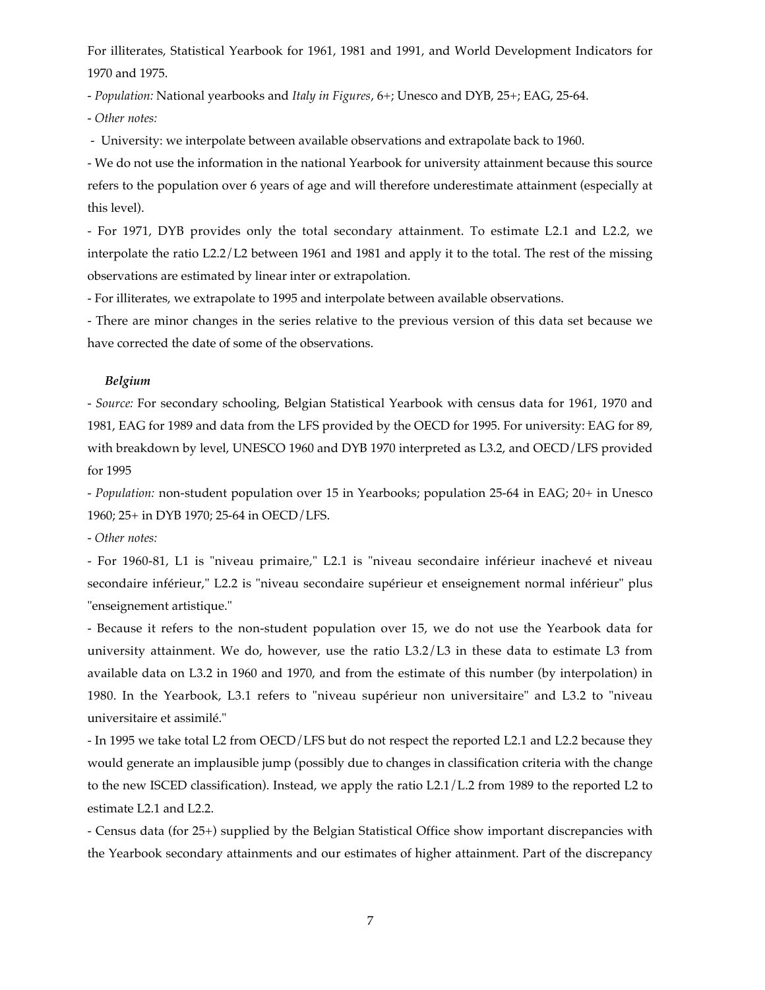For illiterates, Statistical Yearbook for 1961, 1981 and 1991, and World Development Indicators for 1970 and 1975.

*- Population:* National yearbooks and *Italy in Figures*, 6+; Unesco and DYB, 25+; EAG, 25-64.

*- Other notes:*

 *-* University: we interpolate between available observations and extrapolate back to 1960.

- We do not use the information in the national Yearbook for university attainment because this source refers to the population over 6 years of age and will therefore underestimate attainment (especially at this level).

- For 1971, DYB provides only the total secondary attainment. To estimate L2.1 and L2.2, we interpolate the ratio L2.2/L2 between 1961 and 1981 and apply it to the total. The rest of the missing observations are estimated by linear inter or extrapolation.

- For illiterates, we extrapolate to 1995 and interpolate between available observations.

- There are minor changes in the series relative to the previous version of this data set because we have corrected the date of some of the observations.

# *Belgium*

*- Source:* For secondary schooling, Belgian Statistical Yearbook with census data for 1961, 1970 and 1981, EAG for 1989 and data from the LFS provided by the OECD for 1995. For university: EAG for 89, with breakdown by level, UNESCO 1960 and DYB 1970 interpreted as L3.2, and OECD/LFS provided for 1995

*- Population:* non-student population over 15 in Yearbooks; population 25-64 in EAG; 20+ in Unesco 1960; 25+ in DYB 1970; 25-64 in OECD/LFS.

*- Other notes:*

- For 1960-81, L1 is "niveau primaire," L2.1 is "niveau secondaire inférieur inachevé et niveau secondaire inférieur," L2.2 is "niveau secondaire supérieur et enseignement normal inférieur" plus "enseignement artistique."

- Because it refers to the non-student population over 15, we do not use the Yearbook data for university attainment. We do, however, use the ratio L3.2/L3 in these data to estimate L3 from available data on L3.2 in 1960 and 1970, and from the estimate of this number (by interpolation) in 1980. In the Yearbook, L3.1 refers to "niveau supérieur non universitaire" and L3.2 to "niveau universitaire et assimilé."

- In 1995 we take total L2 from OECD/LFS but do not respect the reported L2.1 and L2.2 because they would generate an implausible jump (possibly due to changes in classification criteria with the change to the new ISCED classification). Instead, we apply the ratio L2.1/L.2 from 1989 to the reported L2 to estimate L2.1 and L2.2.

- Census data (for 25+) supplied by the Belgian Statistical Office show important discrepancies with the Yearbook secondary attainments and our estimates of higher attainment. Part of the discrepancy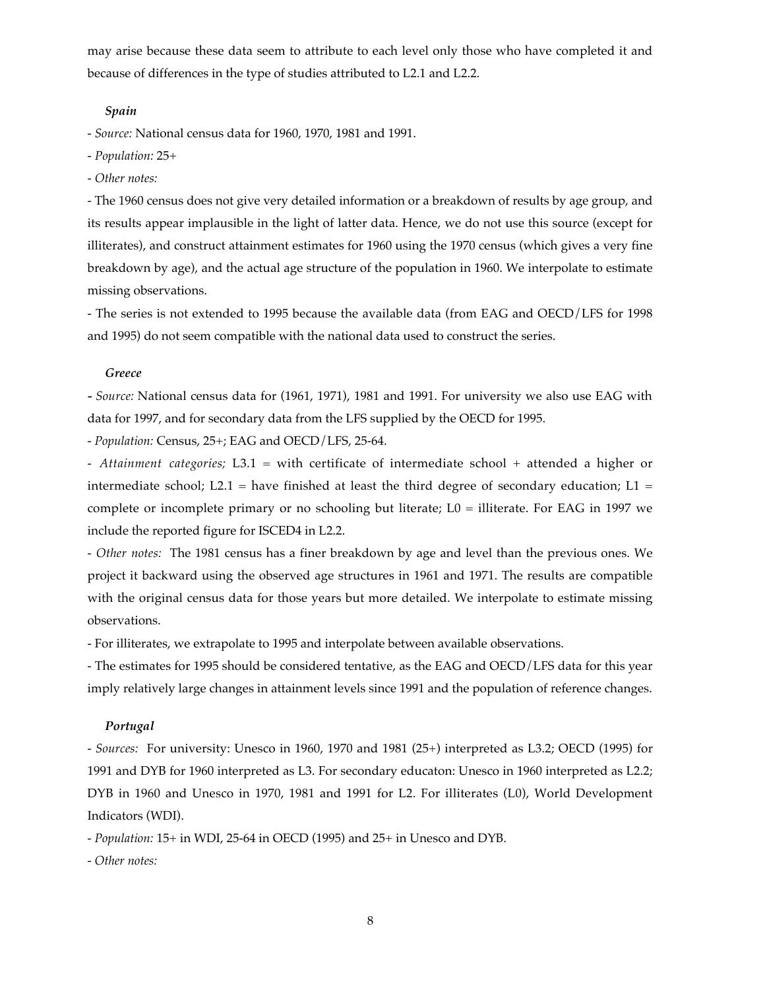may arise because these data seem to attribute to each level only those who have completed it and because of differences in the type of studies attributed to L2.1 and L2.2.

#### *Spain*

*- Source:* National census data for 1960, 1970, 1981 and 1991.

- *Population:* 25+
- *Other notes:*

- The 1960 census does not give very detailed information or a breakdown of results by age group, and its results appear implausible in the light of latter data. Hence, we do not use this source (except for illiterates), and construct attainment estimates for 1960 using the 1970 census (which gives a very fine breakdown by age), and the actual age structure of the population in 1960. We interpolate to estimate missing observations.

- The series is not extended to 1995 because the available data (from EAG and OECD/LFS for 1998 and 1995) do not seem compatible with the national data used to construct the series.

#### *Greece*

*- Source:* National census data for (1961, 1971), 1981 and 1991. For university we also use EAG with data for 1997, and for secondary data from the LFS supplied by the OECD for 1995.

*- Population:* Census, 25+; EAG and OECD/LFS, 25-64.

*- Attainment categories;* L3.1 = with certificate of intermediate school + attended a higher or intermediate school; L2.1 = have finished at least the third degree of secondary education; L1 = complete or incomplete primary or no schooling but literate; L0 = illiterate. For EAG in 1997 we include the reported figure for ISCED4 in L2.2.

- *Other notes:* The 1981 census has a finer breakdown by age and level than the previous ones. We project it backward using the observed age structures in 1961 and 1971. The results are compatible with the original census data for those years but more detailed. We interpolate to estimate missing observations.

- For illiterates, we extrapolate to 1995 and interpolate between available observations.

- The estimates for 1995 should be considered tentative, as the EAG and OECD/LFS data for this year imply relatively large changes in attainment levels since 1991 and the population of reference changes.

#### *Portugal*

*- Sources:* For university: Unesco in 1960, 1970 and 1981 (25+) interpreted as L3.2; OECD (1995) for 1991 and DYB for 1960 interpreted as L3. For secondary educaton: Unesco in 1960 interpreted as L2.2; DYB in 1960 and Unesco in 1970, 1981 and 1991 for L2. For illiterates (L0), World Development Indicators (WDI).

*- Population:* 15+ in WDI, 25-64 in OECD (1995) and 25+ in Unesco and DYB.

*- Other notes:*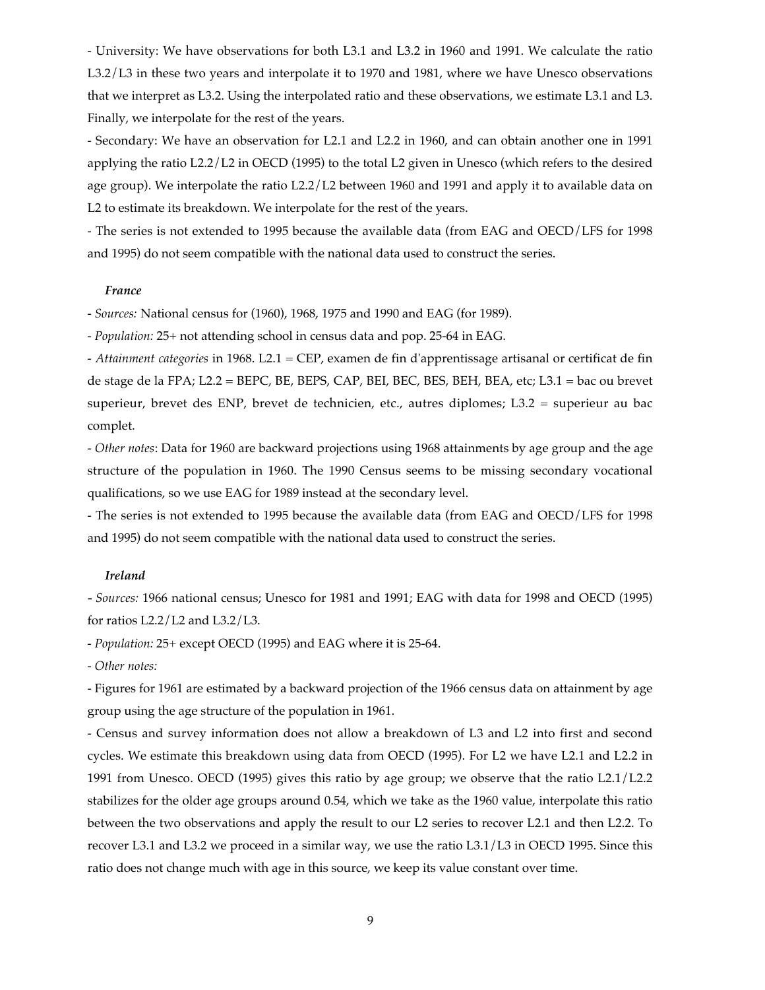- University: We have observations for both L3.1 and L3.2 in 1960 and 1991. We calculate the ratio L3.2/L3 in these two years and interpolate it to 1970 and 1981, where we have Unesco observations that we interpret as L3.2. Using the interpolated ratio and these observations, we estimate L3.1 and L3. Finally, we interpolate for the rest of the years.

- Secondary: We have an observation for L2.1 and L2.2 in 1960, and can obtain another one in 1991 applying the ratio L2.2/L2 in OECD (1995) to the total L2 given in Unesco (which refers to the desired age group). We interpolate the ratio L2.2/L2 between 1960 and 1991 and apply it to available data on L2 to estimate its breakdown. We interpolate for the rest of the years.

- The series is not extended to 1995 because the available data (from EAG and OECD/LFS for 1998 and 1995) do not seem compatible with the national data used to construct the series.

#### *France*

*- Sources:* National census for (1960), 1968, 1975 and 1990 and EAG (for 1989).

*- Population:* 25+ not attending school in census data and pop. 25-64 in EAG.

*- Attainment categories* in 1968. L2.1 = CEP, examen de fin d'apprentissage artisanal or certificat de fin de stage de la FPA; L2.2 = BEPC, BE, BEPS, CAP, BEI, BEC, BES, BEH, BEA, etc; L3.1 = bac ou brevet superieur, brevet des ENP, brevet de technicien, etc., autres diplomes; L3.2 = superieur au bac complet.

*- Other notes*: Data for 1960 are backward projections using 1968 attainments by age group and the age structure of the population in 1960. The 1990 Census seems to be missing secondary vocational qualifications, so we use EAG for 1989 instead at the secondary level.

- The series is not extended to 1995 because the available data (from EAG and OECD/LFS for 1998 and 1995) do not seem compatible with the national data used to construct the series.

## *Ireland*

*- Sources:* 1966 national census; Unesco for 1981 and 1991; EAG with data for 1998 and OECD (1995) for ratios L2.2/L2 and L3.2/L3.

*- Population:* 25+ except OECD (1995) and EAG where it is 25-64.

*- Other notes:*

- Figures for 1961 are estimated by a backward projection of the 1966 census data on attainment by age group using the age structure of the population in 1961.

- Census and survey information does not allow a breakdown of L3 and L2 into first and second cycles. We estimate this breakdown using data from OECD (1995). For L2 we have L2.1 and L2.2 in 1991 from Unesco. OECD (1995) gives this ratio by age group; we observe that the ratio L2.1/L2.2 stabilizes for the older age groups around 0.54, which we take as the 1960 value, interpolate this ratio between the two observations and apply the result to our L2 series to recover L2.1 and then L2.2. To recover L3.1 and L3.2 we proceed in a similar way, we use the ratio L3.1/L3 in OECD 1995. Since this ratio does not change much with age in this source, we keep its value constant over time.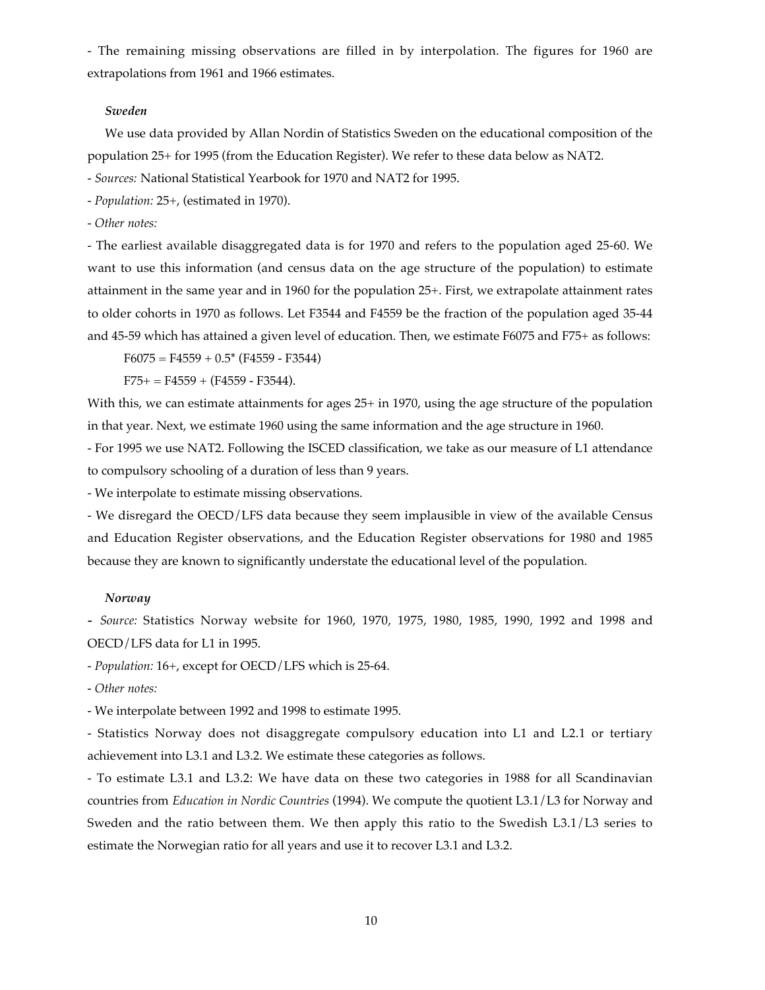- The remaining missing observations are filled in by interpolation. The figures for 1960 are extrapolations from 1961 and 1966 estimates.

#### *Sweden*

We use data provided by Allan Nordin of Statistics Sweden on the educational composition of the population 25+ for 1995 (from the Education Register). We refer to these data below as NAT2.

*- Sources:* National Statistical Yearbook for 1970 and NAT2 for 1995.

*- Population:* 25+, (estimated in 1970).

*- Other notes:*

- The earliest available disaggregated data is for 1970 and refers to the population aged 25-60. We want to use this information (and census data on the age structure of the population) to estimate attainment in the same year and in 1960 for the population 25+. First, we extrapolate attainment rates to older cohorts in 1970 as follows. Let F3544 and F4559 be the fraction of the population aged 35-44 and 45-59 which has attained a given level of education. Then, we estimate F6075 and F75+ as follows:

 $F6075 = F4559 + 0.5* (F4559 - F3544)$ 

 $F75+ = F4559 + (F4559 - F3544).$ 

With this, we can estimate attainments for ages 25+ in 1970, using the age structure of the population in that year. Next, we estimate 1960 using the same information and the age structure in 1960.

- For 1995 we use NAT2. Following the ISCED classification, we take as our measure of L1 attendance to compulsory schooling of a duration of less than 9 years.

- We interpolate to estimate missing observations.

- We disregard the OECD/LFS data because they seem implausible in view of the available Census and Education Register observations, and the Education Register observations for 1980 and 1985 because they are known to significantly understate the educational level of the population.

#### *Norway*

*- Source:* Statistics Norway website for 1960, 1970, 1975, 1980, 1985, 1990, 1992 and 1998 and OECD/LFS data for L1 in 1995.

*- Population:* 16+, except for OECD/LFS which is 25-64.

*- Other notes:*

- We interpolate between 1992 and 1998 to estimate 1995.

- Statistics Norway does not disaggregate compulsory education into L1 and L2.1 or tertiary achievement into L3.1 and L3.2. We estimate these categories as follows.

- To estimate L3.1 and L3.2: We have data on these two categories in 1988 for all Scandinavian countries from *Education in Nordic Countries* (1994). We compute the quotient L3.1/L3 for Norway and Sweden and the ratio between them. We then apply this ratio to the Swedish L3.1/L3 series to estimate the Norwegian ratio for all years and use it to recover L3.1 and L3.2.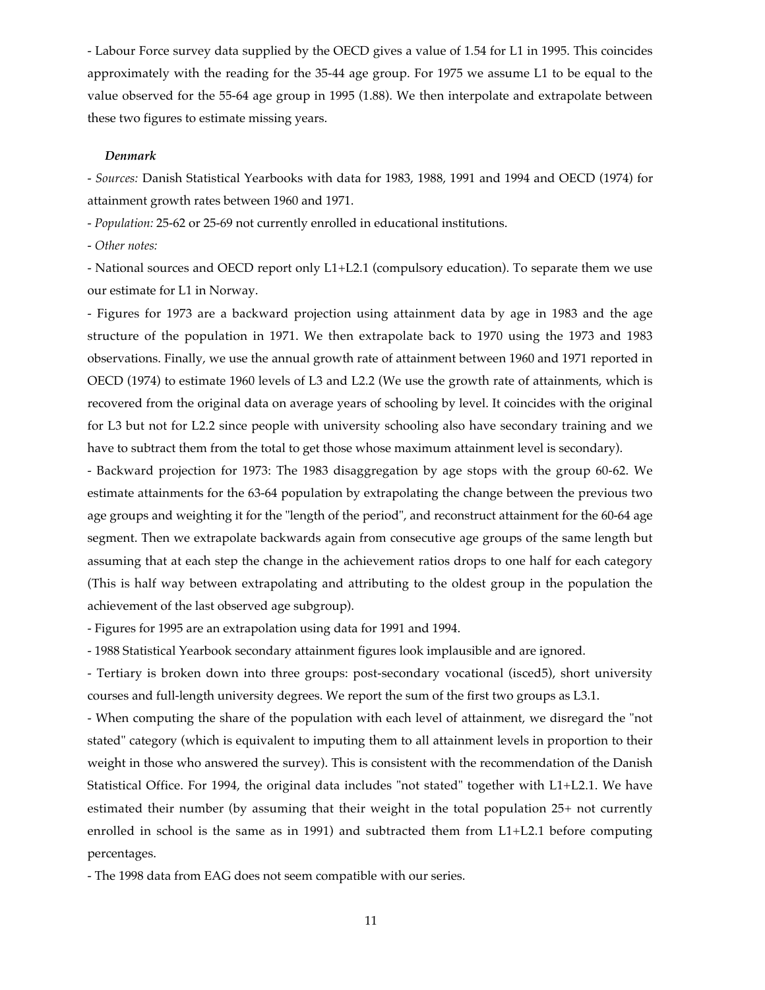- Labour Force survey data supplied by the OECD gives a value of 1.54 for L1 in 1995. This coincides approximately with the reading for the 35-44 age group. For 1975 we assume L1 to be equal to the value observed for the 55-64 age group in 1995 (1.88). We then interpolate and extrapolate between these two figures to estimate missing years.

#### *Denmark*

*- Sources:* Danish Statistical Yearbooks with data for 1983, 1988, 1991 and 1994 and OECD (1974) for attainment growth rates between 1960 and 1971.

*- Population:* 25-62 or 25-69 not currently enrolled in educational institutions.

- *Other notes:*

- National sources and OECD report only L1+L2.1 (compulsory education). To separate them we use our estimate for L1 in Norway.

- Figures for 1973 are a backward projection using attainment data by age in 1983 and the age structure of the population in 1971. We then extrapolate back to 1970 using the 1973 and 1983 observations. Finally, we use the annual growth rate of attainment between 1960 and 1971 reported in OECD (1974) to estimate 1960 levels of L3 and L2.2 (We use the growth rate of attainments, which is recovered from the original data on average years of schooling by level. It coincides with the original for L3 but not for L2.2 since people with university schooling also have secondary training and we have to subtract them from the total to get those whose maximum attainment level is secondary).

- Backward projection for 1973: The 1983 disaggregation by age stops with the group 60-62. We estimate attainments for the 63-64 population by extrapolating the change between the previous two age groups and weighting it for the "length of the period", and reconstruct attainment for the 60-64 age segment. Then we extrapolate backwards again from consecutive age groups of the same length but assuming that at each step the change in the achievement ratios drops to one half for each category (This is half way between extrapolating and attributing to the oldest group in the population the achievement of the last observed age subgroup).

- Figures for 1995 are an extrapolation using data for 1991 and 1994.

- 1988 Statistical Yearbook secondary attainment figures look implausible and are ignored.

- Tertiary is broken down into three groups: post-secondary vocational (isced5), short university courses and full-length university degrees. We report the sum of the first two groups as L3.1.

- When computing the share of the population with each level of attainment, we disregard the "not stated" category (which is equivalent to imputing them to all attainment levels in proportion to their weight in those who answered the survey). This is consistent with the recommendation of the Danish Statistical Office. For 1994, the original data includes "not stated" together with L1+L2.1. We have estimated their number (by assuming that their weight in the total population 25+ not currently enrolled in school is the same as in 1991) and subtracted them from L1+L2.1 before computing percentages.

- The 1998 data from EAG does not seem compatible with our series.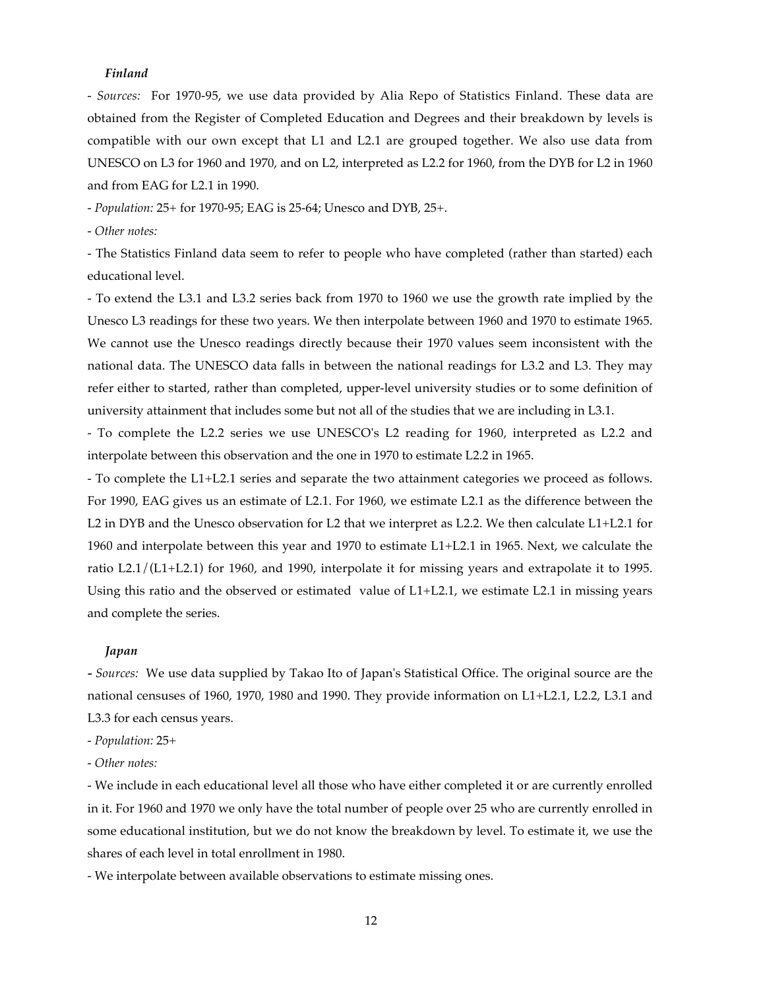## *Finland*

*- Sources:* For 1970-95, we use data provided by Alia Repo of Statistics Finland. These data are obtained from the Register of Completed Education and Degrees and their breakdown by levels is compatible with our own except that L1 and L2.1 are grouped together. We also use data from UNESCO on L3 for 1960 and 1970, and on L2, interpreted as L2.2 for 1960, from the DYB for L2 in 1960 and from EAG for L2.1 in 1990.

*- Population:* 25+ for 1970-95; EAG is 25-64; Unesco and DYB, 25+.

*- Other notes:*

- The Statistics Finland data seem to refer to people who have completed (rather than started) each educational level.

- To extend the L3.1 and L3.2 series back from 1970 to 1960 we use the growth rate implied by the Unesco L3 readings for these two years. We then interpolate between 1960 and 1970 to estimate 1965. We cannot use the Unesco readings directly because their 1970 values seem inconsistent with the national data. The UNESCO data falls in between the national readings for L3.2 and L3. They may refer either to started, rather than completed, upper-level university studies or to some definition of university attainment that includes some but not all of the studies that we are including in L3.1.

- To complete the L2.2 series we use UNESCO's L2 reading for 1960, interpreted as L2.2 and interpolate between this observation and the one in 1970 to estimate L2.2 in 1965.

- To complete the L1+L2.1 series and separate the two attainment categories we proceed as follows. For 1990, EAG gives us an estimate of L2.1. For 1960, we estimate L2.1 as the difference between the L2 in DYB and the Unesco observation for L2 that we interpret as L2.2. We then calculate L1+L2.1 for 1960 and interpolate between this year and 1970 to estimate L1+L2.1 in 1965. Next, we calculate the ratio L2.1/(L1+L2.1) for 1960, and 1990, interpolate it for missing years and extrapolate it to 1995. Using this ratio and the observed or estimated value of L1+L2.1, we estimate L2.1 in missing years and complete the series.

#### *Japan*

*- Sources:* We use data supplied by Takao Ito of Japan's Statistical Office. The original source are the national censuses of 1960, 1970, 1980 and 1990. They provide information on L1+L2.1, L2.2, L3.1 and L3.3 for each census years.

*- Population:* 25+

*- Other notes:*

- We include in each educational level all those who have either completed it or are currently enrolled in it. For 1960 and 1970 we only have the total number of people over 25 who are currently enrolled in some educational institution, but we do not know the breakdown by level. To estimate it, we use the shares of each level in total enrollment in 1980.

- We interpolate between available observations to estimate missing ones.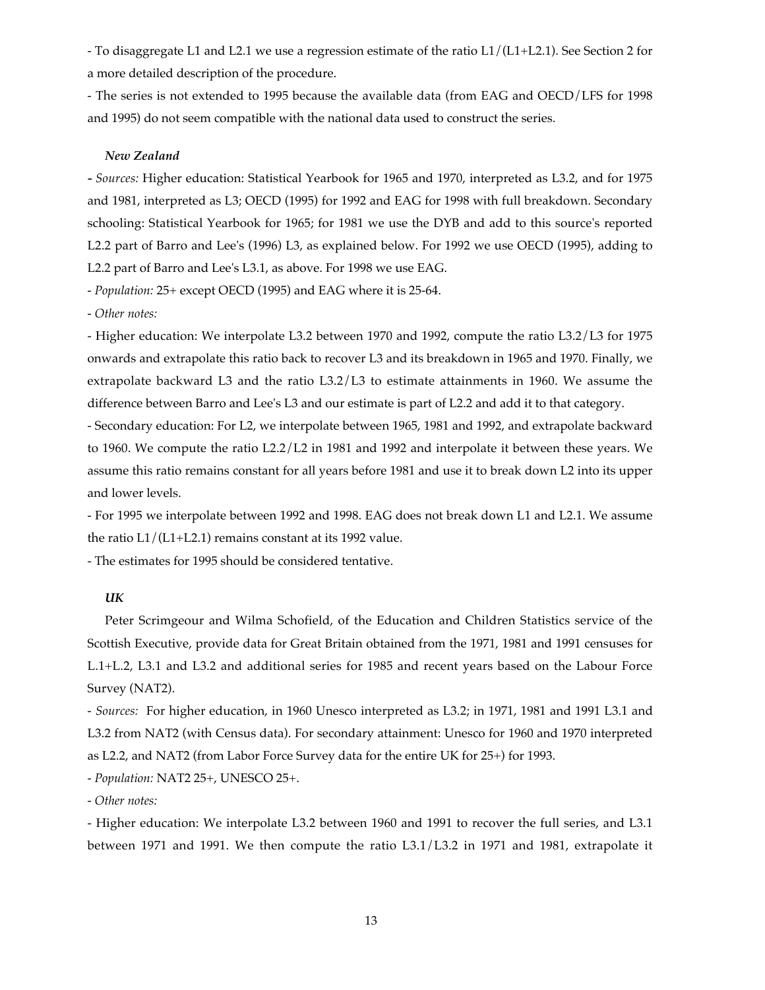- To disaggregate L1 and L2.1 we use a regression estimate of the ratio L1/(L1+L2.1). See Section 2 for a more detailed description of the procedure.

- The series is not extended to 1995 because the available data (from EAG and OECD/LFS for 1998 and 1995) do not seem compatible with the national data used to construct the series.

## *New Zealand*

*- Sources:* Higher education: Statistical Yearbook for 1965 and 1970, interpreted as L3.2, and for 1975 and 1981, interpreted as L3; OECD (1995) for 1992 and EAG for 1998 with full breakdown. Secondary schooling: Statistical Yearbook for 1965; for 1981 we use the DYB and add to this source's reported L2.2 part of Barro and Lee's (1996) L3, as explained below. For 1992 we use OECD (1995), adding to L2.2 part of Barro and Lee's L3.1, as above. For 1998 we use EAG.

*- Population:* 25+ except OECD (1995) and EAG where it is 25-64.

*- Other notes:*

- Higher education: We interpolate L3.2 between 1970 and 1992, compute the ratio L3.2/L3 for 1975 onwards and extrapolate this ratio back to recover L3 and its breakdown in 1965 and 1970. Finally, we extrapolate backward L3 and the ratio L3.2/L3 to estimate attainments in 1960. We assume the difference between Barro and Lee's L3 and our estimate is part of L2.2 and add it to that category.

- Secondary education: For L2, we interpolate between 1965, 1981 and 1992, and extrapolate backward to 1960. We compute the ratio L2.2/L2 in 1981 and 1992 and interpolate it between these years. We assume this ratio remains constant for all years before 1981 and use it to break down L2 into its upper and lower levels.

- For 1995 we interpolate between 1992 and 1998. EAG does not break down L1 and L2.1. We assume the ratio L1/(L1+L2.1) remains constant at its 1992 value.

- The estimates for 1995 should be considered tentative.

# *UK*

Peter Scrimgeour and Wilma Schofield, of the Education and Children Statistics service of the Scottish Executive, provide data for Great Britain obtained from the 1971, 1981 and 1991 censuses for L.1+L.2, L3.1 and L3.2 and additional series for 1985 and recent years based on the Labour Force Survey (NAT2).

*- Sources:* For higher education, in 1960 Unesco interpreted as L3.2; in 1971, 1981 and 1991 L3.1 and L3.2 from NAT2 (with Census data). For secondary attainment: Unesco for 1960 and 1970 interpreted as L2.2, and NAT2 (from Labor Force Survey data for the entire UK for 25+) for 1993.

*- Population:* NAT2 25+, UNESCO 25+.

*- Other notes:*

- Higher education: We interpolate L3.2 between 1960 and 1991 to recover the full series, and L3.1 between 1971 and 1991. We then compute the ratio L3.1/L3.2 in 1971 and 1981, extrapolate it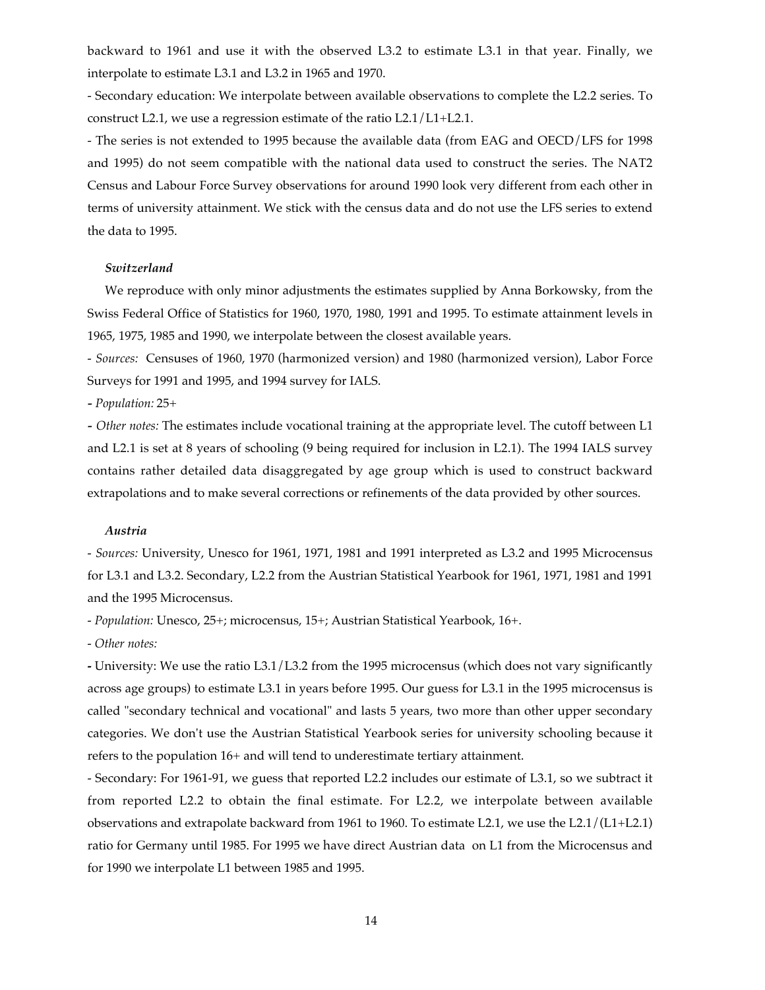backward to 1961 and use it with the observed L3.2 to estimate L3.1 in that year. Finally, we interpolate to estimate L3.1 and L3.2 in 1965 and 1970.

- Secondary education: We interpolate between available observations to complete the L2.2 series. To construct L2.1, we use a regression estimate of the ratio L2.1/L1+L2.1.

- The series is not extended to 1995 because the available data (from EAG and OECD/LFS for 1998 and 1995) do not seem compatible with the national data used to construct the series. The NAT2 Census and Labour Force Survey observations for around 1990 look very different from each other in terms of university attainment. We stick with the census data and do not use the LFS series to extend the data to 1995.

## *Switzerland*

We reproduce with only minor adjustments the estimates supplied by Anna Borkowsky, from the Swiss Federal Office of Statistics for 1960, 1970, 1980, 1991 and 1995. To estimate attainment levels in 1965, 1975, 1985 and 1990, we interpolate between the closest available years.

*- Sources:* Censuses of 1960, 1970 (harmonized version) and 1980 (harmonized version), Labor Force Surveys for 1991 and 1995, and 1994 survey for IALS.

*- Population:* 25+

*- Other notes:* The estimates include vocational training at the appropriate level. The cutoff between L1 and L2.1 is set at 8 years of schooling (9 being required for inclusion in L2.1). The 1994 IALS survey contains rather detailed data disaggregated by age group which is used to construct backward extrapolations and to make several corrections or refinements of the data provided by other sources.

#### *Austria*

*- Sources:* University, Unesco for 1961, 1971, 1981 and 1991 interpreted as L3.2 and 1995 Microcensus for L3.1 and L3.2. Secondary, L2.2 from the Austrian Statistical Yearbook for 1961, 1971, 1981 and 1991 and the 1995 Microcensus.

*- Population:* Unesco, 25+; microcensus, 15+; Austrian Statistical Yearbook, 16+.

*- Other notes:*

**-** University: We use the ratio L3.1/L3.2 from the 1995 microcensus (which does not vary significantly across age groups) to estimate L3.1 in years before 1995. Our guess for L3.1 in the 1995 microcensus is called "secondary technical and vocational" and lasts 5 years, two more than other upper secondary categories. We don't use the Austrian Statistical Yearbook series for university schooling because it refers to the population 16+ and will tend to underestimate tertiary attainment.

- Secondary: For 1961-91, we guess that reported L2.2 includes our estimate of L3.1, so we subtract it from reported L2.2 to obtain the final estimate. For L2.2, we interpolate between available observations and extrapolate backward from 1961 to 1960. To estimate L2.1, we use the L2.1/(L1+L2.1) ratio for Germany until 1985. For 1995 we have direct Austrian data on L1 from the Microcensus and for 1990 we interpolate L1 between 1985 and 1995.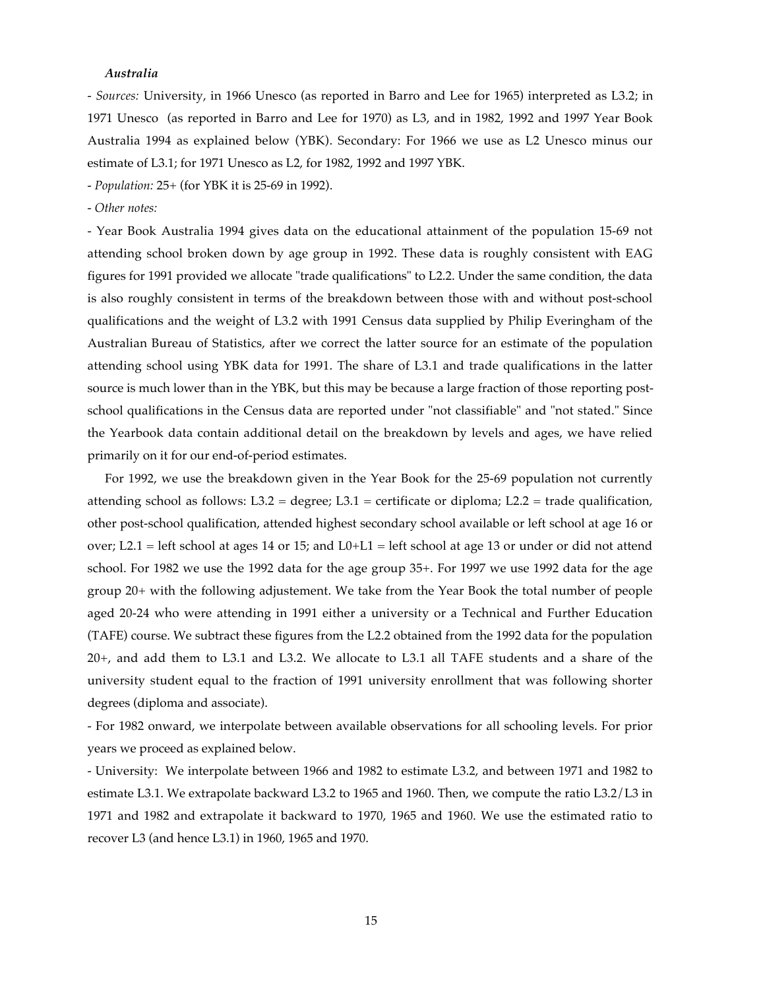#### *Australia*

*- Sources:* University, in 1966 Unesco (as reported in Barro and Lee for 1965) interpreted as L3.2; in 1971 Unesco (as reported in Barro and Lee for 1970) as L3, and in 1982, 1992 and 1997 Year Book Australia 1994 as explained below (YBK). Secondary: For 1966 we use as L2 Unesco minus our estimate of L3.1; for 1971 Unesco as L2, for 1982, 1992 and 1997 YBK.

*- Population:* 25+ (for YBK it is 25-69 in 1992).

*- Other notes:*

- Year Book Australia 1994 gives data on the educational attainment of the population 15-69 not attending school broken down by age group in 1992. These data is roughly consistent with EAG figures for 1991 provided we allocate "trade qualifications" to L2.2. Under the same condition, the data is also roughly consistent in terms of the breakdown between those with and without post-school qualifications and the weight of L3.2 with 1991 Census data supplied by Philip Everingham of the Australian Bureau of Statistics, after we correct the latter source for an estimate of the population attending school using YBK data for 1991. The share of L3.1 and trade qualifications in the latter source is much lower than in the YBK, but this may be because a large fraction of those reporting postschool qualifications in the Census data are reported under "not classifiable" and "not stated." Since the Yearbook data contain additional detail on the breakdown by levels and ages, we have relied primarily on it for our end-of-period estimates.

For 1992, we use the breakdown given in the Year Book for the 25-69 population not currently attending school as follows: L3.2 = degree; L3.1 = certificate or diploma; L2.2 = trade qualification, other post-school qualification, attended highest secondary school available or left school at age 16 or over; L2.1 = left school at ages 14 or 15; and  $L0+L1$  = left school at age 13 or under or did not attend school. For 1982 we use the 1992 data for the age group 35+. For 1997 we use 1992 data for the age group 20+ with the following adjustement. We take from the Year Book the total number of people aged 20-24 who were attending in 1991 either a university or a Technical and Further Education (TAFE) course. We subtract these figures from the L2.2 obtained from the 1992 data for the population 20+, and add them to L3.1 and L3.2. We allocate to L3.1 all TAFE students and a share of the university student equal to the fraction of 1991 university enrollment that was following shorter degrees (diploma and associate).

- For 1982 onward, we interpolate between available observations for all schooling levels. For prior years we proceed as explained below.

- University: We interpolate between 1966 and 1982 to estimate L3.2, and between 1971 and 1982 to estimate L3.1. We extrapolate backward L3.2 to 1965 and 1960. Then, we compute the ratio L3.2/L3 in 1971 and 1982 and extrapolate it backward to 1970, 1965 and 1960. We use the estimated ratio to recover L3 (and hence L3.1) in 1960, 1965 and 1970.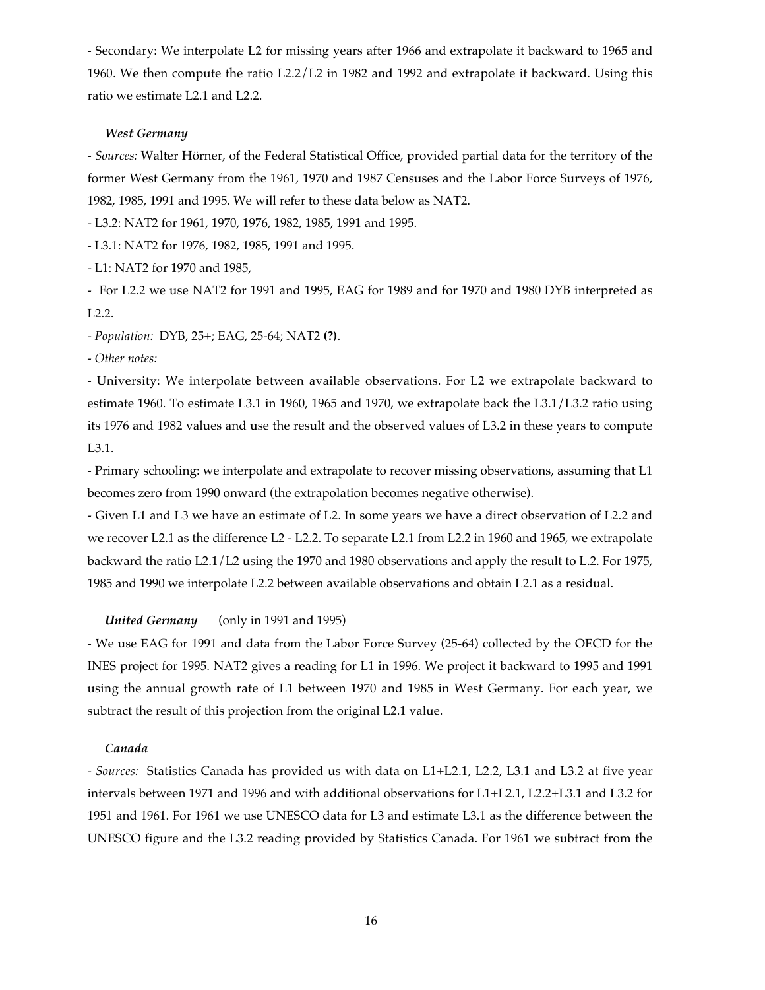- Secondary: We interpolate L2 for missing years after 1966 and extrapolate it backward to 1965 and 1960. We then compute the ratio L2.2/L2 in 1982 and 1992 and extrapolate it backward. Using this ratio we estimate L2.1 and L2.2.

## *West Germany*

- *Sources:* Walter Hörner, of the Federal Statistical Office, provided partial data for the territory of the former West Germany from the 1961, 1970 and 1987 Censuses and the Labor Force Surveys of 1976, 1982, 1985, 1991 and 1995. We will refer to these data below as NAT2.

- L3.2: NAT2 for 1961, 1970, 1976, 1982, 1985, 1991 and 1995.

- L3.1: NAT2 for 1976, 1982, 1985, 1991 and 1995.

- L1: NAT2 for 1970 and 1985,

- For L2.2 we use NAT2 for 1991 and 1995, EAG for 1989 and for 1970 and 1980 DYB interpreted as L2.2.

*- Population:* DYB, 25+; EAG, 25-64; NAT2 **(?)**.

*- Other notes:*

- University: We interpolate between available observations. For L2 we extrapolate backward to estimate 1960. To estimate L3.1 in 1960, 1965 and 1970, we extrapolate back the L3.1/L3.2 ratio using its 1976 and 1982 values and use the result and the observed values of L3.2 in these years to compute L3.1.

- Primary schooling: we interpolate and extrapolate to recover missing observations, assuming that L1 becomes zero from 1990 onward (the extrapolation becomes negative otherwise).

- Given L1 and L3 we have an estimate of L2. In some years we have a direct observation of L2.2 and we recover L2.1 as the difference L2 - L2.2. To separate L2.1 from L2.2 in 1960 and 1965, we extrapolate backward the ratio L2.1/L2 using the 1970 and 1980 observations and apply the result to L.2. For 1975, 1985 and 1990 we interpolate L2.2 between available observations and obtain L2.1 as a residual.

## *United Germany* (only in 1991 and 1995)

- We use EAG for 1991 and data from the Labor Force Survey (25-64) collected by the OECD for the INES project for 1995. NAT2 gives a reading for L1 in 1996. We project it backward to 1995 and 1991 using the annual growth rate of L1 between 1970 and 1985 in West Germany. For each year, we subtract the result of this projection from the original L2.1 value.

## *Canada*

*- Sources:* Statistics Canada has provided us with data on L1+L2.1, L2.2, L3.1 and L3.2 at five year intervals between 1971 and 1996 and with additional observations for L1+L2.1, L2.2+L3.1 and L3.2 for 1951 and 1961. For 1961 we use UNESCO data for L3 and estimate L3.1 as the difference between the UNESCO figure and the L3.2 reading provided by Statistics Canada. For 1961 we subtract from the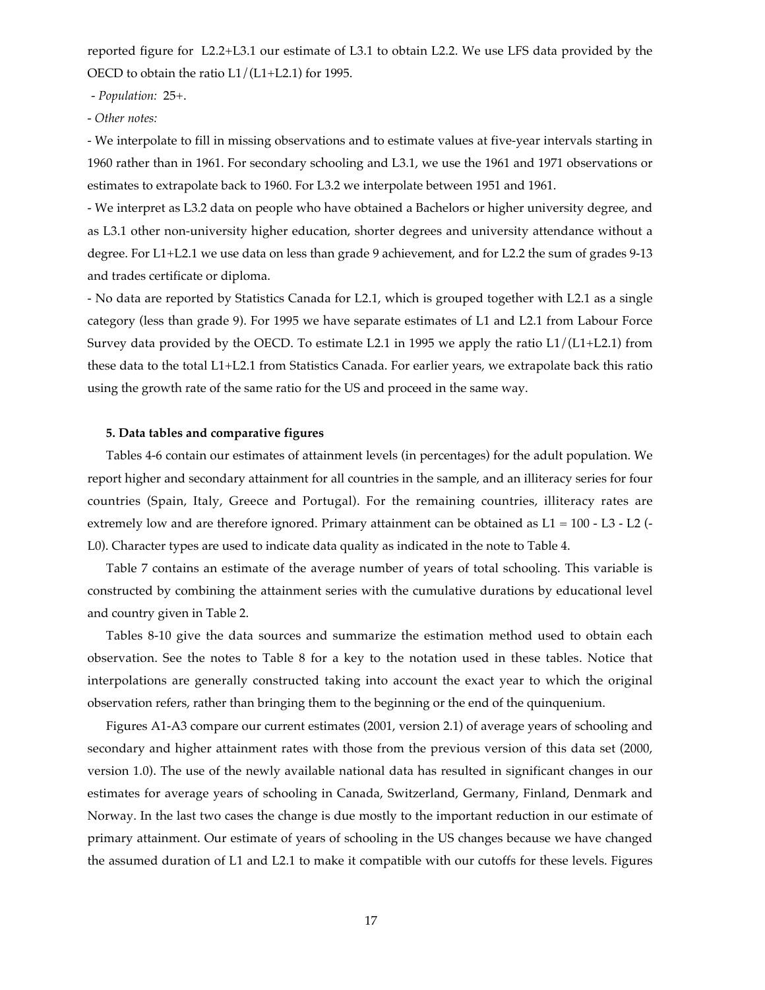reported figure for L2.2+L3.1 our estimate of L3.1 to obtain L2.2. We use LFS data provided by the OECD to obtain the ratio L1/(L1+L2.1) for 1995.

*- Population:* 25+.

*- Other notes:*

*-* We interpolate to fill in missing observations and to estimate values at five-year intervals starting in 1960 rather than in 1961. For secondary schooling and L3.1, we use the 1961 and 1971 observations or estimates to extrapolate back to 1960. For L3.2 we interpolate between 1951 and 1961.

- We interpret as L3.2 data on people who have obtained a Bachelors or higher university degree, and as L3.1 other non-university higher education, shorter degrees and university attendance without a degree. For L1+L2.1 we use data on less than grade 9 achievement, and for L2.2 the sum of grades 9-13 and trades certificate or diploma.

- No data are reported by Statistics Canada for L2.1, which is grouped together with L2.1 as a single category (less than grade 9). For 1995 we have separate estimates of L1 and L2.1 from Labour Force Survey data provided by the OECD. To estimate L2.1 in 1995 we apply the ratio L1/(L1+L2.1) from these data to the total L1+L2.1 from Statistics Canada. For earlier years, we extrapolate back this ratio using the growth rate of the same ratio for the US and proceed in the same way.

# **5. Data tables and comparative figures**

Tables 4-6 contain our estimates of attainment levels (in percentages) for the adult population. We report higher and secondary attainment for all countries in the sample, and an illiteracy series for four countries (Spain, Italy, Greece and Portugal). For the remaining countries, illiteracy rates are extremely low and are therefore ignored. Primary attainment can be obtained as  $L1 = 100 - L3 - L2$  (-L0). Character types are used to indicate data quality as indicated in the note to Table 4.

Table 7 contains an estimate of the average number of years of total schooling. This variable is constructed by combining the attainment series with the cumulative durations by educational level and country given in Table 2.

Tables 8-10 give the data sources and summarize the estimation method used to obtain each observation. See the notes to Table 8 for a key to the notation used in these tables. Notice that interpolations are generally constructed taking into account the exact year to which the original observation refers, rather than bringing them to the beginning or the end of the quinquenium.

Figures A1-A3 compare our current estimates (2001, version 2.1) of average years of schooling and secondary and higher attainment rates with those from the previous version of this data set (2000, version 1.0). The use of the newly available national data has resulted in significant changes in our estimates for average years of schooling in Canada, Switzerland, Germany, Finland, Denmark and Norway. In the last two cases the change is due mostly to the important reduction in our estimate of primary attainment. Our estimate of years of schooling in the US changes because we have changed the assumed duration of L1 and L2.1 to make it compatible with our cutoffs for these levels. Figures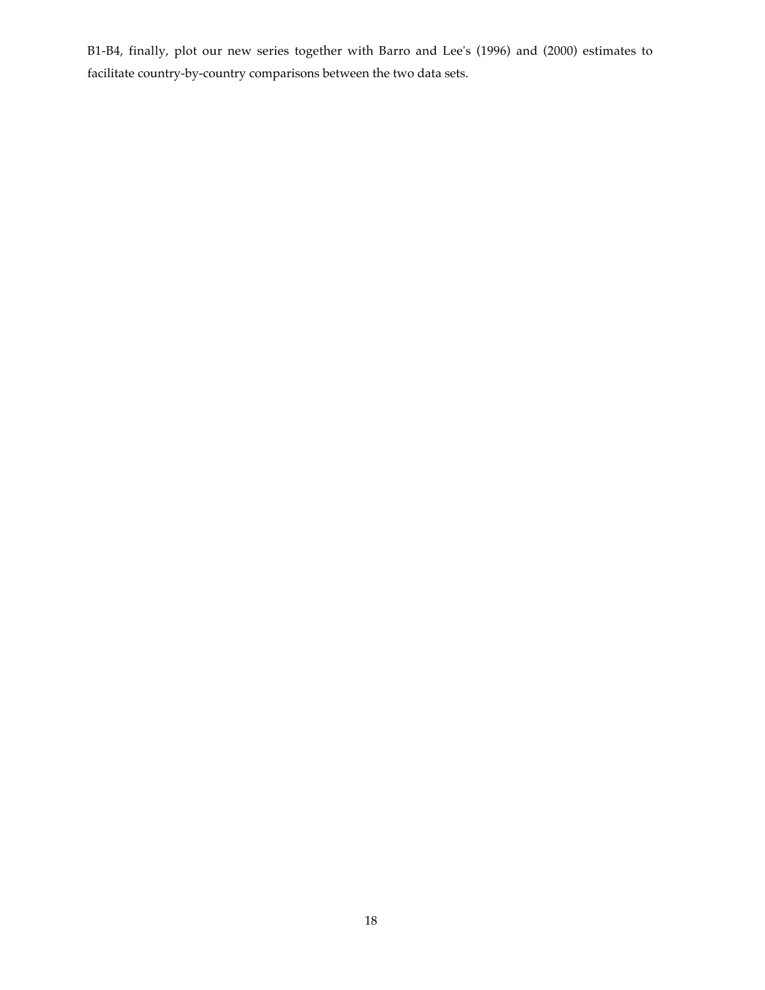B1-B4, finally, plot our new series together with Barro and Lee's (1996) and (2000) estimates to facilitate country-by-country comparisons between the two data sets.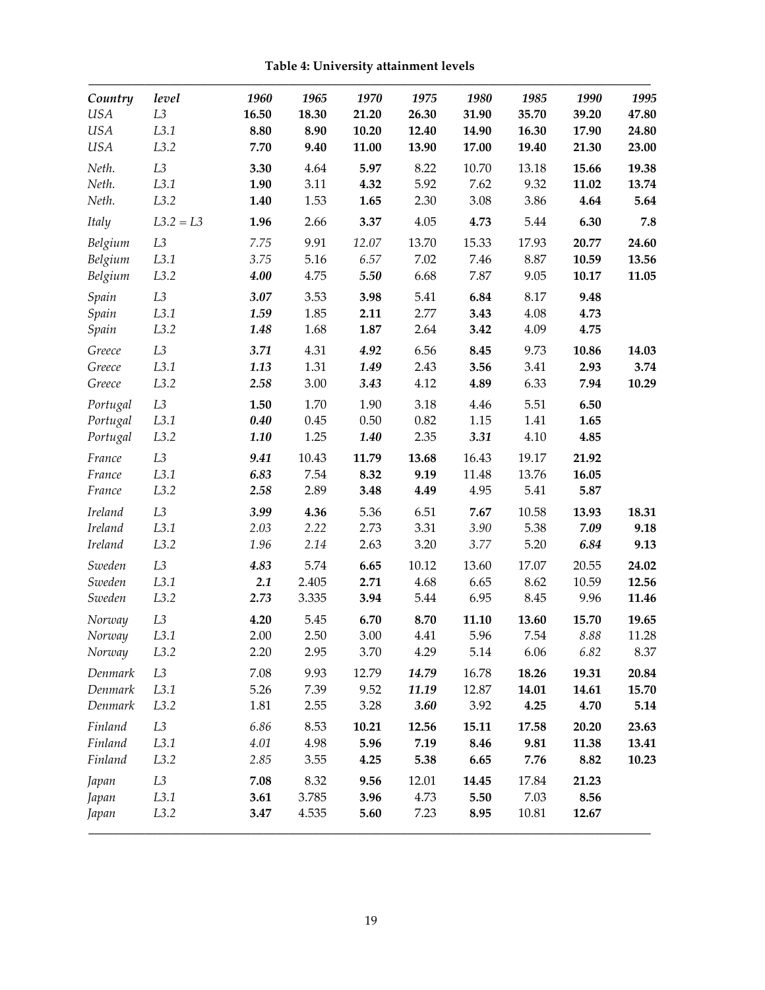**Table 4: University attainment levels**

| Country        | level          | 1960  | 1965  | 1970     | 1975  | 1980  | 1985  | 1990  | 1995  |
|----------------|----------------|-------|-------|----------|-------|-------|-------|-------|-------|
| <b>USA</b>     | L3             | 16.50 | 18.30 | 21.20    | 26.30 | 31.90 | 35.70 | 39.20 | 47.80 |
| <b>USA</b>     | L3.1           | 8.80  | 8.90  | 10.20    | 12.40 | 14.90 | 16.30 | 17.90 | 24.80 |
| <b>USA</b>     | L3.2           | 7.70  | 9.40  | 11.00    | 13.90 | 17.00 | 19.40 | 21.30 | 23.00 |
| Neth.          | L <sub>3</sub> | 3.30  | 4.64  | 5.97     | 8.22  | 10.70 | 13.18 | 15.66 | 19.38 |
| Neth.          | L3.1           | 1.90  | 3.11  | 4.32     | 5.92  | 7.62  | 9.32  | 11.02 | 13.74 |
| Neth.          | L3.2           | 1.40  | 1.53  | 1.65     | 2.30  | 3.08  | 3.86  | 4.64  | 5.64  |
| Italy          | $L3.2 = L3$    | 1.96  | 2.66  | 3.37     | 4.05  | 4.73  | 5.44  | 6.30  | 7.8   |
| Belgium        | L3             | 7.75  | 9.91  | 12.07    | 13.70 | 15.33 | 17.93 | 20.77 | 24.60 |
| Belgium        | L3.1           | 3.75  | 5.16  | 6.57     | 7.02  | 7.46  | 8.87  | 10.59 | 13.56 |
| Belgium        | L3.2           | 4.00  | 4.75  | 5.50     | 6.68  | 7.87  | 9.05  | 10.17 | 11.05 |
| Spain          | L3             | 3.07  | 3.53  | 3.98     | 5.41  | 6.84  | 8.17  | 9.48  |       |
| Spain          | L3.1           | 1.59  | 1.85  | 2.11     | 2.77  | 3.43  | 4.08  | 4.73  |       |
| Spain          | L3.2           | 1.48  | 1.68  | 1.87     | 2.64  | 3.42  | 4.09  | 4.75  |       |
| Greece         | L3             | 3.71  | 4.31  | 4.92     | 6.56  | 8.45  | 9.73  | 10.86 | 14.03 |
| Greece         | L3.1           | 1.13  | 1.31  | 1.49     | 2.43  | 3.56  | 3.41  | 2.93  | 3.74  |
| Greece         | L3.2           | 2.58  | 3.00  | 3.43     | 4.12  | 4.89  | 6.33  | 7.94  | 10.29 |
| Portugal       | L <sub>3</sub> | 1.50  | 1.70  | 1.90     | 3.18  | 4.46  | 5.51  | 6.50  |       |
| Portugal       | L3.1           | 0.40  | 0.45  | $0.50\,$ | 0.82  | 1.15  | 1.41  | 1.65  |       |
| Portugal       | L3.2           | 1.10  | 1.25  | 1.40     | 2.35  | 3.31  | 4.10  | 4.85  |       |
| France         | L <sub>3</sub> | 9.41  | 10.43 | 11.79    | 13.68 | 16.43 | 19.17 | 21.92 |       |
| France         | L3.1           | 6.83  | 7.54  | 8.32     | 9.19  | 11.48 | 13.76 | 16.05 |       |
| France         | L3.2           | 2.58  | 2.89  | 3.48     | 4.49  | 4.95  | 5.41  | 5.87  |       |
| <b>Ireland</b> | L3             | 3.99  | 4.36  | 5.36     | 6.51  | 7.67  | 10.58 | 13.93 | 18.31 |
| Ireland        | L3.1           | 2.03  | 2.22  | 2.73     | 3.31  | 3.90  | 5.38  | 7.09  | 9.18  |
| <b>Ireland</b> | L3.2           | 1.96  | 2.14  | 2.63     | 3.20  | 3.77  | 5.20  | 6.84  | 9.13  |
| Sweden         | L3             | 4.83  | 5.74  | 6.65     | 10.12 | 13.60 | 17.07 | 20.55 | 24.02 |
| Sweden         | L3.1           | 2.1   | 2.405 | 2.71     | 4.68  | 6.65  | 8.62  | 10.59 | 12.56 |
| Sweden         | L3.2           | 2.73  | 3.335 | 3.94     | 5.44  | 6.95  | 8.45  | 9.96  | 11.46 |
| Norway         | L <sub>3</sub> | 4.20  | 5.45  | 6.70     | 8.70  | 11.10 | 13.60 | 15.70 | 19.65 |
| Norway         | L3.1           | 2.00  | 2.50  | 3.00     | 4.41  | 5.96  | 7.54  | 8.88  | 11.28 |
| Norway         | L3.2           | 2.20  | 2.95  | 3.70     | 4.29  | 5.14  | 6.06  | 6.82  | 8.37  |
| Denmark        | L <sub>3</sub> | 7.08  | 9.93  | 12.79    | 14.79 | 16.78 | 18.26 | 19.31 | 20.84 |
| Denmark        | L3.1           | 5.26  | 7.39  | 9.52     | 11.19 | 12.87 | 14.01 | 14.61 | 15.70 |
| Denmark        | L3.2           | 1.81  | 2.55  | 3.28     | 3.60  | 3.92  | 4.25  | 4.70  | 5.14  |
| Finland        | L <sub>3</sub> | 6.86  | 8.53  | 10.21    | 12.56 | 15.11 | 17.58 | 20.20 | 23.63 |
| Finland        | L3.1           | 4.01  | 4.98  | 5.96     | 7.19  | 8.46  | 9.81  | 11.38 | 13.41 |
| Finland        | L3.2           | 2.85  | 3.55  | 4.25     | 5.38  | 6.65  | 7.76  | 8.82  | 10.23 |
| Japan          | L <sub>3</sub> | 7.08  | 8.32  | 9.56     | 12.01 | 14.45 | 17.84 | 21.23 |       |
| Japan          | L3.1           | 3.61  | 3.785 | 3.96     | 4.73  | 5.50  | 7.03  | 8.56  |       |
| Japan          | L3.2           | 3.47  | 4.535 | 5.60     | 7.23  | 8.95  | 10.81 | 12.67 |       |
|                |                |       |       |          |       |       |       |       |       |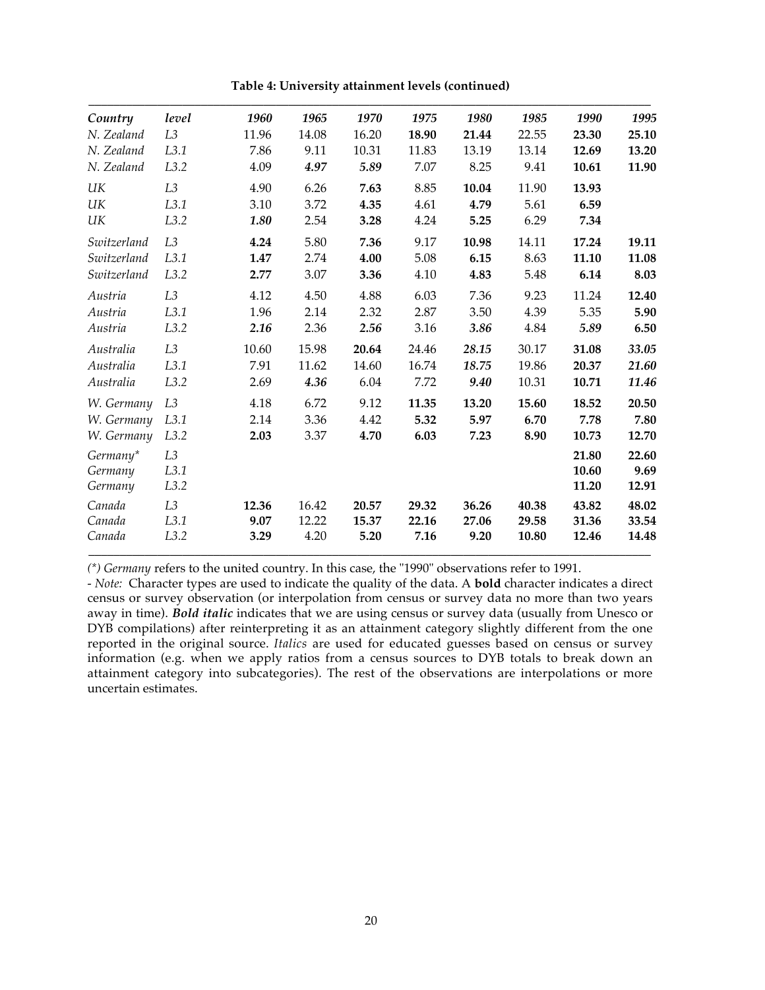| Table 4: University attainment levels (continued) |
|---------------------------------------------------|
|---------------------------------------------------|

| Country     | level          | 1960  | 1965  | 1970  | 1975  | 1980  | 1985  | 1990  | 1995  |
|-------------|----------------|-------|-------|-------|-------|-------|-------|-------|-------|
| N. Zealand  | L <sub>3</sub> | 11.96 | 14.08 | 16.20 | 18.90 | 21.44 | 22.55 | 23.30 | 25.10 |
| N. Zealand  | L3.1           | 7.86  | 9.11  | 10.31 | 11.83 | 13.19 | 13.14 | 12.69 | 13.20 |
| N. Zealand  | L3.2           | 4.09  | 4.97  | 5.89  | 7.07  | 8.25  | 9.41  | 10.61 | 11.90 |
| UK          | L3             | 4.90  | 6.26  | 7.63  | 8.85  | 10.04 | 11.90 | 13.93 |       |
| UK          | L3.1           | 3.10  | 3.72  | 4.35  | 4.61  | 4.79  | 5.61  | 6.59  |       |
| UK          | L3.2           | 1.80  | 2.54  | 3.28  | 4.24  | 5.25  | 6.29  | 7.34  |       |
| Switzerland | L <sub>3</sub> | 4.24  | 5.80  | 7.36  | 9.17  | 10.98 | 14.11 | 17.24 | 19.11 |
| Switzerland | L3.1           | 1.47  | 2.74  | 4.00  | 5.08  | 6.15  | 8.63  | 11.10 | 11.08 |
| Switzerland | L3.2           | 2.77  | 3.07  | 3.36  | 4.10  | 4.83  | 5.48  | 6.14  | 8.03  |
| Austria     | L <sub>3</sub> | 4.12  | 4.50  | 4.88  | 6.03  | 7.36  | 9.23  | 11.24 | 12.40 |
| Austria     | L3.1           | 1.96  | 2.14  | 2.32  | 2.87  | 3.50  | 4.39  | 5.35  | 5.90  |
| Austria     | L3.2           | 2.16  | 2.36  | 2.56  | 3.16  | 3.86  | 4.84  | 5.89  | 6.50  |
| Australia   | L3             | 10.60 | 15.98 | 20.64 | 24.46 | 28.15 | 30.17 | 31.08 | 33.05 |
| Australia   | L3.1           | 7.91  | 11.62 | 14.60 | 16.74 | 18.75 | 19.86 | 20.37 | 21.60 |
| Australia   | L3.2           | 2.69  | 4.36  | 6.04  | 7.72  | 9.40  | 10.31 | 10.71 | 11.46 |
| W. Germany  | L <sub>3</sub> | 4.18  | 6.72  | 9.12  | 11.35 | 13.20 | 15.60 | 18.52 | 20.50 |
| W. Germany  | L3.1           | 2.14  | 3.36  | 4.42  | 5.32  | 5.97  | 6.70  | 7.78  | 7.80  |
| W. Germany  | L3.2           | 2.03  | 3.37  | 4.70  | 6.03  | 7.23  | 8.90  | 10.73 | 12.70 |
| Germany*    | L <sub>3</sub> |       |       |       |       |       |       | 21.80 | 22.60 |
| Germany     | L3.1           |       |       |       |       |       |       | 10.60 | 9.69  |
| Germany     | L3.2           |       |       |       |       |       |       | 11.20 | 12.91 |
| Canada      | L <sub>3</sub> | 12.36 | 16.42 | 20.57 | 29.32 | 36.26 | 40.38 | 43.82 | 48.02 |
| Canada      | L3.1           | 9.07  | 12.22 | 15.37 | 22.16 | 27.06 | 29.58 | 31.36 | 33.54 |
| Canada      | L3.2           | 3.29  | 4.20  | 5.20  | 7.16  | 9.20  | 10.80 | 12.46 | 14.48 |

*(\*) Germany* refers to the united country. In this case, the "1990" observations refer to 1991.

*- Note:* Character types are used to indicate the quality of the data. A **bold** character indicates a direct census or survey observation (or interpolation from census or survey data no more than two years away in time). *Bold italic* indicates that we are using census or survey data (usually from Unesco or DYB compilations) after reinterpreting it as an attainment category slightly different from the one reported in the original source. *Italics* are used for educated guesses based on census or survey information (e.g. when we apply ratios from a census sources to DYB totals to break down an attainment category into subcategories). The rest of the observations are interpolations or more uncertain estimates.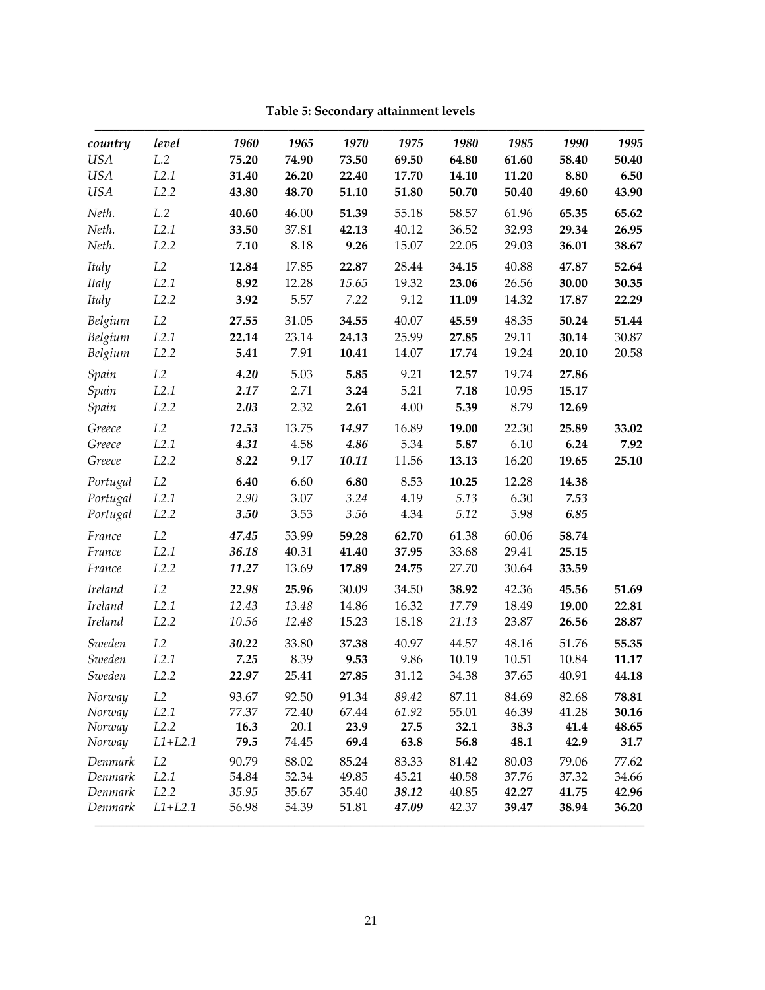| <b>USA</b>     | L.2               |       | 1965  | 1970  | 1975  | 1980  | 1985  | 1990  | 1995  |
|----------------|-------------------|-------|-------|-------|-------|-------|-------|-------|-------|
|                |                   | 75.20 | 74.90 | 73.50 | 69.50 | 64.80 | 61.60 | 58.40 | 50.40 |
| <b>USA</b>     | L2.1              | 31.40 | 26.20 | 22.40 | 17.70 | 14.10 | 11.20 | 8.80  | 6.50  |
| <b>USA</b>     | L2.2              | 43.80 | 48.70 | 51.10 | 51.80 | 50.70 | 50.40 | 49.60 | 43.90 |
| Neth.          | L.2               | 40.60 | 46.00 | 51.39 | 55.18 | 58.57 | 61.96 | 65.35 | 65.62 |
| Neth.          | L2.1              | 33.50 | 37.81 | 42.13 | 40.12 | 36.52 | 32.93 | 29.34 | 26.95 |
| Neth.          | L <sub>2</sub> .2 | 7.10  | 8.18  | 9.26  | 15.07 | 22.05 | 29.03 | 36.01 | 38.67 |
| Italy          | L2                | 12.84 | 17.85 | 22.87 | 28.44 | 34.15 | 40.88 | 47.87 | 52.64 |
| Italy          | L2.1              | 8.92  | 12.28 | 15.65 | 19.32 | 23.06 | 26.56 | 30.00 | 30.35 |
| Italy          | L <sub>2</sub> .2 | 3.92  | 5.57  | 7.22  | 9.12  | 11.09 | 14.32 | 17.87 | 22.29 |
| Belgium        | L2                | 27.55 | 31.05 | 34.55 | 40.07 | 45.59 | 48.35 | 50.24 | 51.44 |
| Belgium        | L2.1              | 22.14 | 23.14 | 24.13 | 25.99 | 27.85 | 29.11 | 30.14 | 30.87 |
| Belgium        | L2.2              | 5.41  | 7.91  | 10.41 | 14.07 | 17.74 | 19.24 | 20.10 | 20.58 |
| Spain          | L2                | 4.20  | 5.03  | 5.85  | 9.21  | 12.57 | 19.74 | 27.86 |       |
| Spain          | L2.1              | 2.17  | 2.71  | 3.24  | 5.21  | 7.18  | 10.95 | 15.17 |       |
| Spain          | L2.2              | 2.03  | 2.32  | 2.61  | 4.00  | 5.39  | 8.79  | 12.69 |       |
| Greece         | $\mathcal{L}2$    | 12.53 | 13.75 | 14.97 | 16.89 | 19.00 | 22.30 | 25.89 | 33.02 |
| Greece         | L2.1              | 4.31  | 4.58  | 4.86  | 5.34  | 5.87  | 6.10  | 6.24  | 7.92  |
| Greece         | L2.2              | 8.22  | 9.17  | 10.11 | 11.56 | 13.13 | 16.20 | 19.65 | 25.10 |
| Portugal       | L2                | 6.40  | 6.60  | 6.80  | 8.53  | 10.25 | 12.28 | 14.38 |       |
| Portugal       | L <sub>2.1</sub>  | 2.90  | 3.07  | 3.24  | 4.19  | 5.13  | 6.30  | 7.53  |       |
| Portugal       | L2.2              | 3.50  | 3.53  | 3.56  | 4.34  | 5.12  | 5.98  | 6.85  |       |
| France         | L2                | 47.45 | 53.99 | 59.28 | 62.70 | 61.38 | 60.06 | 58.74 |       |
| France         | L2.1              | 36.18 | 40.31 | 41.40 | 37.95 | 33.68 | 29.41 | 25.15 |       |
| France         | L <sub>2</sub> .2 | 11.27 | 13.69 | 17.89 | 24.75 | 27.70 | 30.64 | 33.59 |       |
| <b>Ireland</b> | L2                | 22.98 | 25.96 | 30.09 | 34.50 | 38.92 | 42.36 | 45.56 | 51.69 |
| <b>Ireland</b> | L2.1              | 12.43 | 13.48 | 14.86 | 16.32 | 17.79 | 18.49 | 19.00 | 22.81 |
| <b>Ireland</b> | L <sub>2</sub> .2 | 10.56 | 12.48 | 15.23 | 18.18 | 21.13 | 23.87 | 26.56 | 28.87 |
| Sweden         | L2                | 30.22 | 33.80 | 37.38 | 40.97 | 44.57 | 48.16 | 51.76 | 55.35 |
| Sweden         | L2.1              | 7.25  | 8.39  | 9.53  | 9.86  | 10.19 | 10.51 | 10.84 | 11.17 |
| Sweden         | L2.2              | 22.97 | 25.41 | 27.85 | 31.12 | 34.38 | 37.65 | 40.91 | 44.18 |
| Norway         | L2                | 93.67 | 92.50 | 91.34 | 89.42 | 87.11 | 84.69 | 82.68 | 78.81 |
| Norway         | L2.1              | 77.37 | 72.40 | 67.44 | 61.92 | 55.01 | 46.39 | 41.28 | 30.16 |
| Norway         | L2.2              | 16.3  | 20.1  | 23.9  | 27.5  | 32.1  | 38.3  | 41.4  | 48.65 |
| Norway         | $L1+L2.1$         | 79.5  | 74.45 | 69.4  | 63.8  | 56.8  | 48.1  | 42.9  | 31.7  |
| Denmark        | L2                | 90.79 | 88.02 | 85.24 | 83.33 | 81.42 | 80.03 | 79.06 | 77.62 |
| Denmark        | L2.1              | 54.84 | 52.34 | 49.85 | 45.21 | 40.58 | 37.76 | 37.32 | 34.66 |
| Denmark        | L2.2              | 35.95 | 35.67 | 35.40 | 38.12 | 40.85 | 42.27 | 41.75 | 42.96 |
| Denmark        | $L1+L2.1$         | 56.98 | 54.39 | 51.81 | 47.09 | 42.37 | 39.47 | 38.94 | 36.20 |

**Table 5: Secondary attainment levels**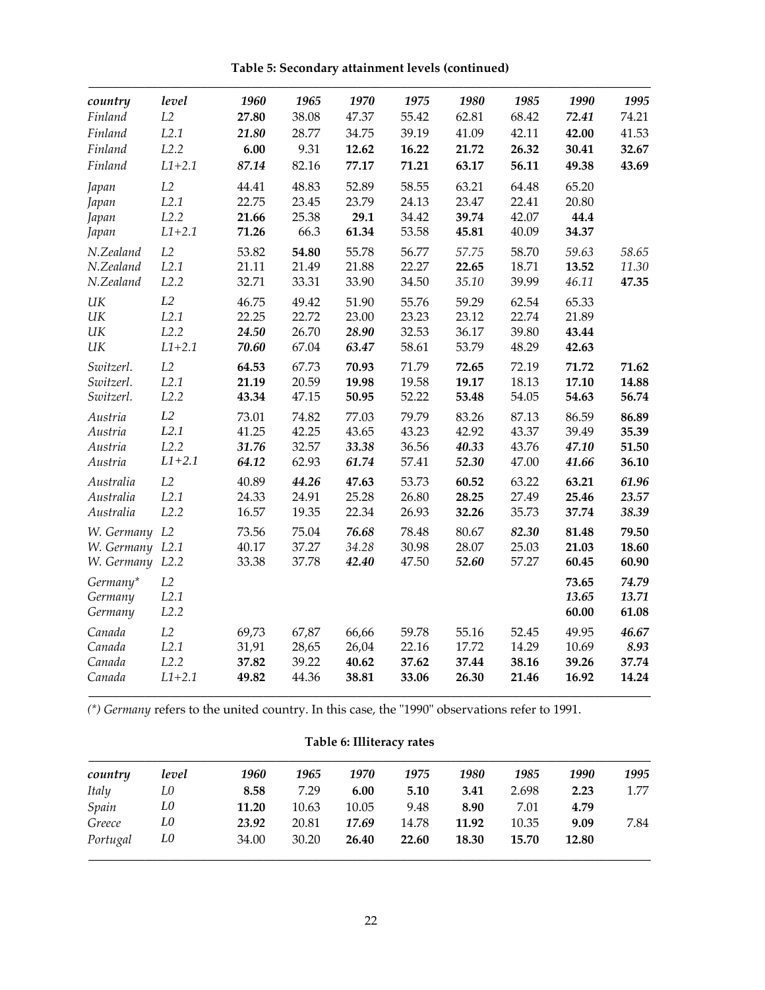| country         | level      | 1960  | 1965  | 1970  | 1975  | 1980  | 1985  | 1990  | 1995  |
|-----------------|------------|-------|-------|-------|-------|-------|-------|-------|-------|
| Finland         | L2         | 27.80 | 38.08 | 47.37 | 55.42 | 62.81 | 68.42 | 72.41 | 74.21 |
| Finland         | L2.1       | 21.80 | 28.77 | 34.75 | 39.19 | 41.09 | 42.11 | 42.00 | 41.53 |
| Finland         | L2.2       | 6.00  | 9.31  | 12.62 | 16.22 | 21.72 | 26.32 | 30.41 | 32.67 |
| Finland         | $L1 + 2.1$ | 87.14 | 82.16 | 77.17 | 71.21 | 63.17 | 56.11 | 49.38 | 43.69 |
| Japan           | L2         | 44.41 | 48.83 | 52.89 | 58.55 | 63.21 | 64.48 | 65.20 |       |
| Japan           | L2.1       | 22.75 | 23.45 | 23.79 | 24.13 | 23.47 | 22.41 | 20.80 |       |
| Japan           | L2.2       | 21.66 | 25.38 | 29.1  | 34.42 | 39.74 | 42.07 | 44.4  |       |
| Japan           | $L1 + 2.1$ | 71.26 | 66.3  | 61.34 | 53.58 | 45.81 | 40.09 | 34.37 |       |
| N.Zealand       | L2         | 53.82 | 54.80 | 55.78 | 56.77 | 57.75 | 58.70 | 59.63 | 58.65 |
| N.Zealand       | L2.1       | 21.11 | 21.49 | 21.88 | 22.27 | 22.65 | 18.71 | 13.52 | 11.30 |
| N.Zealand       | L2.2       | 32.71 | 33.31 | 33.90 | 34.50 | 35.10 | 39.99 | 46.11 | 47.35 |
| UK              | L2         | 46.75 | 49.42 | 51.90 | 55.76 | 59.29 | 62.54 | 65.33 |       |
| UK              | L2.1       | 22.25 | 22.72 | 23.00 | 23.23 | 23.12 | 22.74 | 21.89 |       |
| UK              | L2.2       | 24.50 | 26.70 | 28.90 | 32.53 | 36.17 | 39.80 | 43.44 |       |
| UK              | $L1 + 2.1$ | 70.60 | 67.04 | 63.47 | 58.61 | 53.79 | 48.29 | 42.63 |       |
| Switzerl.       | L2         | 64.53 | 67.73 | 70.93 | 71.79 | 72.65 | 72.19 | 71.72 | 71.62 |
| Switzerl.       | L2.1       | 21.19 | 20.59 | 19.98 | 19.58 | 19.17 | 18.13 | 17.10 | 14.88 |
| Switzerl.       | L2.2       | 43.34 | 47.15 | 50.95 | 52.22 | 53.48 | 54.05 | 54.63 | 56.74 |
| Austria         | L2         | 73.01 | 74.82 | 77.03 | 79.79 | 83.26 | 87.13 | 86.59 | 86.89 |
| Austria         | L2.1       | 41.25 | 42.25 | 43.65 | 43.23 | 42.92 | 43.37 | 39.49 | 35.39 |
| Austria         | L2.2       | 31.76 | 32.57 | 33.38 | 36.56 | 40.33 | 43.76 | 47.10 | 51.50 |
| Austria         | $L1 + 2.1$ | 64.12 | 62.93 | 61.74 | 57.41 | 52.30 | 47.00 | 41.66 | 36.10 |
| Australia       | L2         | 40.89 | 44.26 | 47.63 | 53.73 | 60.52 | 63.22 | 63.21 | 61.96 |
| Australia       | L2.1       | 24.33 | 24.91 | 25.28 | 26.80 | 28.25 | 27.49 | 25.46 | 23.57 |
| Australia       | L2.2       | 16.57 | 19.35 | 22.34 | 26.93 | 32.26 | 35.73 | 37.74 | 38.39 |
| W. Germany L2   |            | 73.56 | 75.04 | 76.68 | 78.48 | 80.67 | 82.30 | 81.48 | 79.50 |
| W. Germany L2.1 |            | 40.17 | 37.27 | 34.28 | 30.98 | 28.07 | 25.03 | 21.03 | 18.60 |
| W. Germany L2.2 |            | 33.38 | 37.78 | 42.40 | 47.50 | 52.60 | 57.27 | 60.45 | 60.90 |
| Germany*        | L2         |       |       |       |       |       |       | 73.65 | 74.79 |
| Germany         | L2.1       |       |       |       |       |       |       | 13.65 | 13.71 |
| Germany         | L2.2       |       |       |       |       |       |       | 60.00 | 61.08 |
| Canada          | L2         | 69,73 | 67,87 | 66,66 | 59.78 | 55.16 | 52.45 | 49.95 | 46.67 |
| Canada          | L2.1       | 31,91 | 28,65 | 26,04 | 22.16 | 17.72 | 14.29 | 10.69 | 8.93  |
| Canada          | L2.2       | 37.82 | 39.22 | 40.62 | 37.62 | 37.44 | 38.16 | 39.26 | 37.74 |
| Canada          | $L1 + 2.1$ | 49.82 | 44.36 | 38.81 | 33.06 | 26.30 | 21.46 | 16.92 | 14.24 |
|                 |            |       |       |       |       |       |       |       |       |

**Table 5: Secondary attainment levels (continued)**

*(\*) Germany* refers to the united country. In this case, the "1990" observations refer to 1991.

# **Table 6: Illiteracy rates**

| country      | level | 1960  | 1965  | 1970  | 1975  | 1980  | 1985  | 1990  | 1995 |
|--------------|-------|-------|-------|-------|-------|-------|-------|-------|------|
| <b>Italy</b> | L0    | 8.58  | 7.29  | 6.00  | 5.10  | 3.41  | 2.698 | 2.23  | 1.77 |
| Spain        | L0    | 11.20 | 10.63 | 10.05 | 9.48  | 8.90  | 7.01  | 4.79  |      |
| Greece       | L0    | 23.92 | 20.81 | 17.69 | 14.78 | 11.92 | 10.35 | 9.09  | 7.84 |
| Portugal     | L0    | 34.00 | 30.20 | 26.40 | 22.60 | 18.30 | 15.70 | 12.80 |      |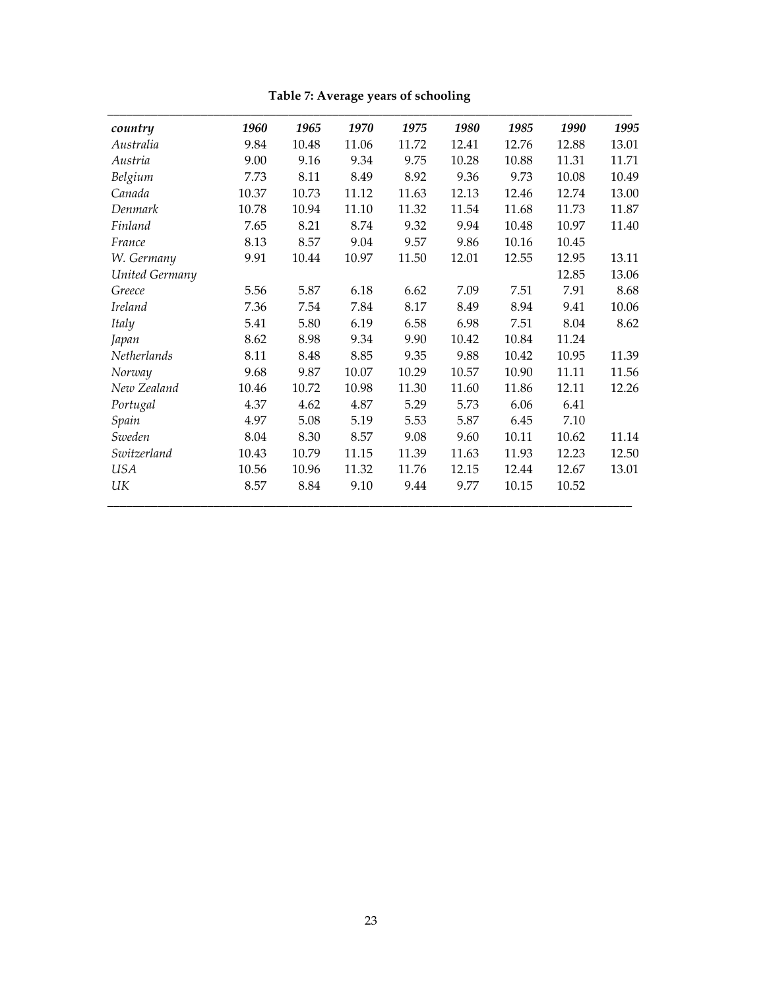| country        | 1960  | 1965  | 1970  | 1975  | 1980  | 1985  | 1990  | 1995  |
|----------------|-------|-------|-------|-------|-------|-------|-------|-------|
| Australia      | 9.84  | 10.48 | 11.06 | 11.72 | 12.41 | 12.76 | 12.88 | 13.01 |
| Austria        | 9.00  | 9.16  | 9.34  | 9.75  | 10.28 | 10.88 | 11.31 | 11.71 |
| Belgium        | 7.73  | 8.11  | 8.49  | 8.92  | 9.36  | 9.73  | 10.08 | 10.49 |
| Canada         | 10.37 | 10.73 | 11.12 | 11.63 | 12.13 | 12.46 | 12.74 | 13.00 |
| Denmark        | 10.78 | 10.94 | 11.10 | 11.32 | 11.54 | 11.68 | 11.73 | 11.87 |
| Finland        | 7.65  | 8.21  | 8.74  | 9.32  | 9.94  | 10.48 | 10.97 | 11.40 |
| France         | 8.13  | 8.57  | 9.04  | 9.57  | 9.86  | 10.16 | 10.45 |       |
| W. Germany     | 9.91  | 10.44 | 10.97 | 11.50 | 12.01 | 12.55 | 12.95 | 13.11 |
| United Germany |       |       |       |       |       |       | 12.85 | 13.06 |
| Greece         | 5.56  | 5.87  | 6.18  | 6.62  | 7.09  | 7.51  | 7.91  | 8.68  |
| <b>Ireland</b> | 7.36  | 7.54  | 7.84  | 8.17  | 8.49  | 8.94  | 9.41  | 10.06 |
| <b>Italy</b>   | 5.41  | 5.80  | 6.19  | 6.58  | 6.98  | 7.51  | 8.04  | 8.62  |
| Japan          | 8.62  | 8.98  | 9.34  | 9.90  | 10.42 | 10.84 | 11.24 |       |
| Netherlands    | 8.11  | 8.48  | 8.85  | 9.35  | 9.88  | 10.42 | 10.95 | 11.39 |
| Norway         | 9.68  | 9.87  | 10.07 | 10.29 | 10.57 | 10.90 | 11.11 | 11.56 |
| New Zealand    | 10.46 | 10.72 | 10.98 | 11.30 | 11.60 | 11.86 | 12.11 | 12.26 |
| Portugal       | 4.37  | 4.62  | 4.87  | 5.29  | 5.73  | 6.06  | 6.41  |       |
| Spain          | 4.97  | 5.08  | 5.19  | 5.53  | 5.87  | 6.45  | 7.10  |       |
| Sweden         | 8.04  | 8.30  | 8.57  | 9.08  | 9.60  | 10.11 | 10.62 | 11.14 |
| Switzerland    | 10.43 | 10.79 | 11.15 | 11.39 | 11.63 | 11.93 | 12.23 | 12.50 |
| <b>USA</b>     | 10.56 | 10.96 | 11.32 | 11.76 | 12.15 | 12.44 | 12.67 | 13.01 |
| UК             | 8.57  | 8.84  | 9.10  | 9.44  | 9.77  | 10.15 | 10.52 |       |

**Table 7: Average years of schooling**